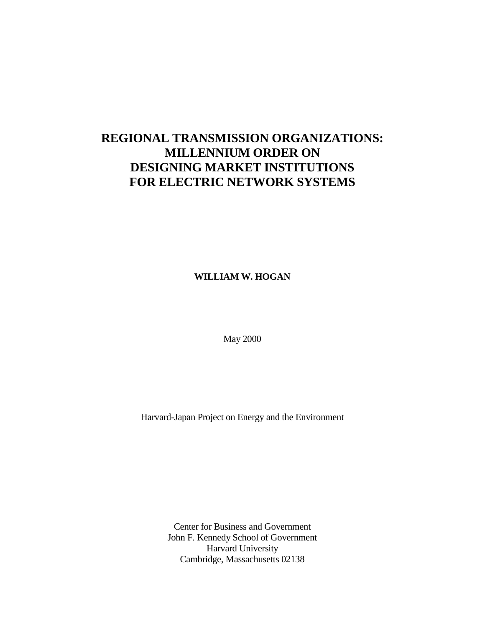# **REGIONAL TRANSMISSION ORGANIZATIONS: MILLENNIUM ORDER ON DESIGNING MARKET INSTITUTIONS FOR ELECTRIC NETWORK SYSTEMS**

**WILLIAM W. HOGAN**

May 2000

Harvard-Japan Project on Energy and the Environment

Center for Business and Government John F. Kennedy School of Government Harvard University Cambridge, Massachusetts 02138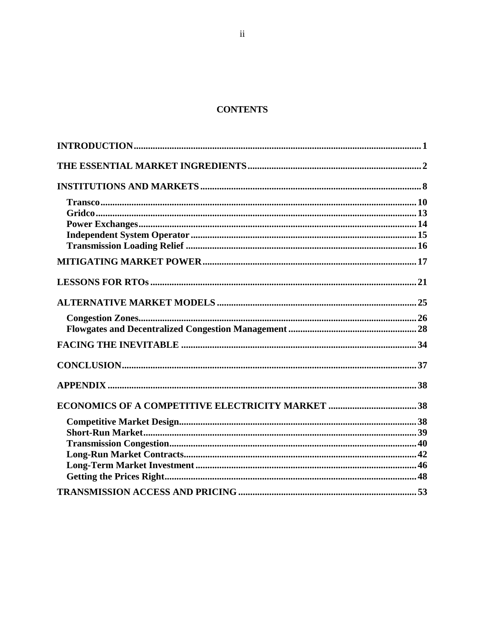## **CONTENTS**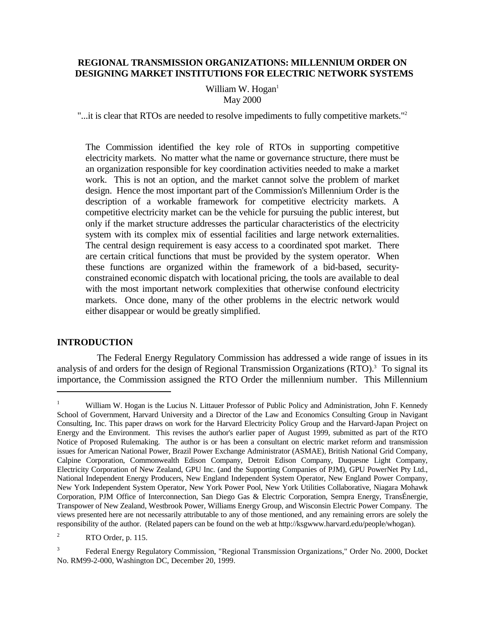## **REGIONAL TRANSMISSION ORGANIZATIONS: MILLENNIUM ORDER ON DESIGNING MARKET INSTITUTIONS FOR ELECTRIC NETWORK SYSTEMS**

## William W.  $Hogan<sup>1</sup>$ May 2000

"...it is clear that RTOs are needed to resolve impediments to fully competitive markets."<sup>2</sup>

The Commission identified the key role of RTOs in supporting competitive electricity markets. No matter what the name or governance structure, there must be an organization responsible for key coordination activities needed to make a market work. This is not an option, and the market cannot solve the problem of market design. Hence the most important part of the Commission's Millennium Order is the description of a workable framework for competitive electricity markets. A competitive electricity market can be the vehicle for pursuing the public interest, but only if the market structure addresses the particular characteristics of the electricity system with its complex mix of essential facilities and large network externalities. The central design requirement is easy access to a coordinated spot market. There are certain critical functions that must be provided by the system operator. When these functions are organized within the framework of a bid-based, securityconstrained economic dispatch with locational pricing, the tools are available to deal with the most important network complexities that otherwise confound electricity markets. Once done, many of the other problems in the electric network would either disappear or would be greatly simplified.

### **INTRODUCTION**

 $\overline{a}$ 

The Federal Energy Regulatory Commission has addressed a wide range of issues in its analysis of and orders for the design of Regional Transmission Organizations (RTO).<sup>3</sup> To signal its importance, the Commission assigned the RTO Order the millennium number. This Millennium

<sup>1</sup> William W. Hogan is the Lucius N. Littauer Professor of Public Policy and Administration, John F. Kennedy School of Government, Harvard University and a Director of the Law and Economics Consulting Group in Navigant Consulting, Inc. This paper draws on work for the Harvard Electricity Policy Group and the Harvard-Japan Project on Energy and the Environment. This revises the author's earlier paper of August 1999, submitted as part of the RTO Notice of Proposed Rulemaking. The author is or has been a consultant on electric market reform and transmission issues for American National Power, Brazil Power Exchange Administrator (ASMAE), British National Grid Company, Calpine Corporation, Commonwealth Edison Company, Detroit Edison Company, Duquesne Light Company, Electricity Corporation of New Zealand, GPU Inc. (and the Supporting Companies of PJM), GPU PowerNet Pty Ltd., National Independent Energy Producers, New England Independent System Operator, New England Power Company, New York Independent System Operator, New York Power Pool, New York Utilities Collaborative, Niagara Mohawk Corporation, PJM Office of Interconnection, San Diego Gas & Electric Corporation, Sempra Energy, TransÉnergie, Transpower of New Zealand, Westbrook Power, Williams Energy Group, and Wisconsin Electric Power Company. The views presented here are not necessarily attributable to any of those mentioned, and any remaining errors are solely the responsibility of the author. (Related papers can be found on the web at http://ksgwww.harvard.edu/people/whogan).

<sup>2</sup> RTO Order, p. 115.

<sup>3</sup> Federal Energy Regulatory Commission, "Regional Transmission Organizations," Order No. 2000, Docket No. RM99-2-000, Washington DC, December 20, 1999.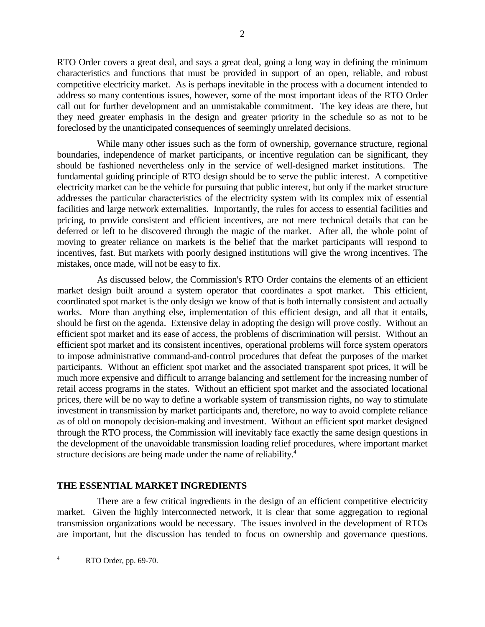RTO Order covers a great deal, and says a great deal, going a long way in defining the minimum characteristics and functions that must be provided in support of an open, reliable, and robust competitive electricity market. As is perhaps inevitable in the process with a document intended to address so many contentious issues, however, some of the most important ideas of the RTO Order call out for further development and an unmistakable commitment. The key ideas are there, but they need greater emphasis in the design and greater priority in the schedule so as not to be foreclosed by the unanticipated consequences of seemingly unrelated decisions.

While many other issues such as the form of ownership, governance structure, regional boundaries, independence of market participants, or incentive regulation can be significant, they should be fashioned nevertheless only in the service of well-designed market institutions. The fundamental guiding principle of RTO design should be to serve the public interest. A competitive electricity market can be the vehicle for pursuing that public interest, but only if the market structure addresses the particular characteristics of the electricity system with its complex mix of essential facilities and large network externalities. Importantly, the rules for access to essential facilities and pricing, to provide consistent and efficient incentives, are not mere technical details that can be deferred or left to be discovered through the magic of the market. After all, the whole point of moving to greater reliance on markets is the belief that the market participants will respond to incentives, fast. But markets with poorly designed institutions will give the wrong incentives. The mistakes, once made, will not be easy to fix.

 As discussed below, the Commission's RTO Order contains the elements of an efficient market design built around a system operator that coordinates a spot market. This efficient, coordinated spot market is the only design we know of that is both internally consistent and actually works. More than anything else, implementation of this efficient design, and all that it entails, should be first on the agenda. Extensive delay in adopting the design will prove costly. Without an efficient spot market and its ease of access, the problems of discrimination will persist. Without an efficient spot market and its consistent incentives, operational problems will force system operators to impose administrative command-and-control procedures that defeat the purposes of the market participants. Without an efficient spot market and the associated transparent spot prices, it will be much more expensive and difficult to arrange balancing and settlement for the increasing number of retail access programs in the states. Without an efficient spot market and the associated locational prices, there will be no way to define a workable system of transmission rights, no way to stimulate investment in transmission by market participants and, therefore, no way to avoid complete reliance as of old on monopoly decision-making and investment. Without an efficient spot market designed through the RTO process, the Commission will inevitably face exactly the same design questions in the development of the unavoidable transmission loading relief procedures, where important market structure decisions are being made under the name of reliability.4

## **THE ESSENTIAL MARKET INGREDIENTS**

There are a few critical ingredients in the design of an efficient competitive electricity market. Given the highly interconnected network, it is clear that some aggregation to regional transmission organizations would be necessary. The issues involved in the development of RTOs are important, but the discussion has tended to focus on ownership and governance questions.

<sup>&</sup>lt;sup>4</sup> RTO Order, pp. 69-70.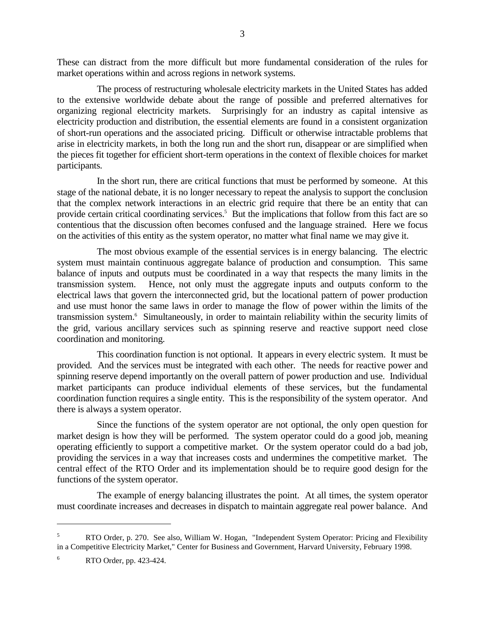These can distract from the more difficult but more fundamental consideration of the rules for market operations within and across regions in network systems.

The process of restructuring wholesale electricity markets in the United States has added to the extensive worldwide debate about the range of possible and preferred alternatives for organizing regional electricity markets. Surprisingly for an industry as capital intensive as electricity production and distribution, the essential elements are found in a consistent organization of short-run operations and the associated pricing. Difficult or otherwise intractable problems that arise in electricity markets, in both the long run and the short run, disappear or are simplified when the pieces fit together for efficient short-term operations in the context of flexible choices for market participants.

In the short run, there are critical functions that must be performed by someone. At this stage of the national debate, it is no longer necessary to repeat the analysis to support the conclusion that the complex network interactions in an electric grid require that there be an entity that can provide certain critical coordinating services.<sup>5</sup> But the implications that follow from this fact are so contentious that the discussion often becomes confused and the language strained. Here we focus on the activities of this entity as the system operator, no matter what final name we may give it.

The most obvious example of the essential services is in energy balancing. The electric system must maintain continuous aggregate balance of production and consumption. This same balance of inputs and outputs must be coordinated in a way that respects the many limits in the transmission system. Hence, not only must the aggregate inputs and outputs conform to the electrical laws that govern the interconnected grid, but the locational pattern of power production and use must honor the same laws in order to manage the flow of power within the limits of the transmission system.<sup>6</sup> Simultaneously, in order to maintain reliability within the security limits of the grid, various ancillary services such as spinning reserve and reactive support need close coordination and monitoring.

This coordination function is not optional. It appears in every electric system. It must be provided. And the services must be integrated with each other. The needs for reactive power and spinning reserve depend importantly on the overall pattern of power production and use. Individual market participants can produce individual elements of these services, but the fundamental coordination function requires a single entity. This is the responsibility of the system operator. And there is always a system operator.

Since the functions of the system operator are not optional, the only open question for market design is how they will be performed. The system operator could do a good job, meaning operating efficiently to support a competitive market. Or the system operator could do a bad job, providing the services in a way that increases costs and undermines the competitive market. The central effect of the RTO Order and its implementation should be to require good design for the functions of the system operator.

The example of energy balancing illustrates the point. At all times, the system operator must coordinate increases and decreases in dispatch to maintain aggregate real power balance. And

<sup>5</sup> RTO Order, p. 270. See also, William W. Hogan, "Independent System Operator: Pricing and Flexibility in a Competitive Electricity Market," Center for Business and Government, Harvard University, February 1998.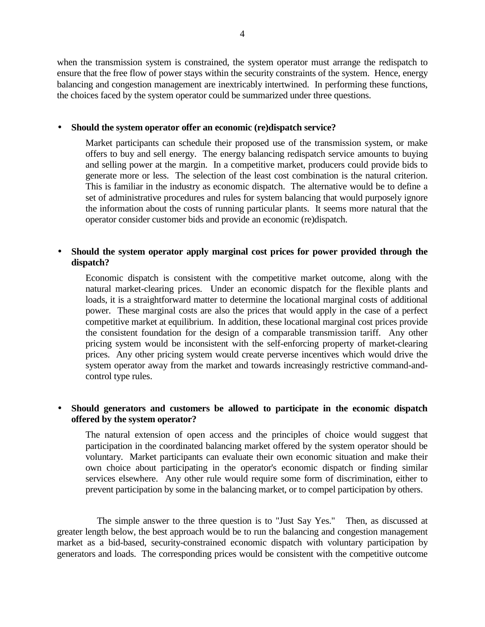when the transmission system is constrained, the system operator must arrange the redispatch to ensure that the free flow of power stays within the security constraints of the system. Hence, energy balancing and congestion management are inextricably intertwined. In performing these functions, the choices faced by the system operator could be summarized under three questions.

## • **Should the system operator offer an economic (re)dispatch service?**

Market participants can schedule their proposed use of the transmission system, or make offers to buy and sell energy. The energy balancing redispatch service amounts to buying and selling power at the margin. In a competitive market, producers could provide bids to generate more or less. The selection of the least cost combination is the natural criterion. This is familiar in the industry as economic dispatch. The alternative would be to define a set of administrative procedures and rules for system balancing that would purposely ignore the information about the costs of running particular plants. It seems more natural that the operator consider customer bids and provide an economic (re)dispatch.

## • **Should the system operator apply marginal cost prices for power provided through the dispatch?**

Economic dispatch is consistent with the competitive market outcome, along with the natural market-clearing prices. Under an economic dispatch for the flexible plants and loads, it is a straightforward matter to determine the locational marginal costs of additional power. These marginal costs are also the prices that would apply in the case of a perfect competitive market at equilibrium. In addition, these locational marginal cost prices provide the consistent foundation for the design of a comparable transmission tariff. Any other pricing system would be inconsistent with the self-enforcing property of market-clearing prices. Any other pricing system would create perverse incentives which would drive the system operator away from the market and towards increasingly restrictive command-andcontrol type rules.

## • **Should generators and customers be allowed to participate in the economic dispatch offered by the system operator?**

The natural extension of open access and the principles of choice would suggest that participation in the coordinated balancing market offered by the system operator should be voluntary. Market participants can evaluate their own economic situation and make their own choice about participating in the operator's economic dispatch or finding similar services elsewhere. Any other rule would require some form of discrimination, either to prevent participation by some in the balancing market, or to compel participation by others.

The simple answer to the three question is to "Just Say Yes." Then, as discussed at greater length below, the best approach would be to run the balancing and congestion management market as a bid-based, security-constrained economic dispatch with voluntary participation by generators and loads. The corresponding prices would be consistent with the competitive outcome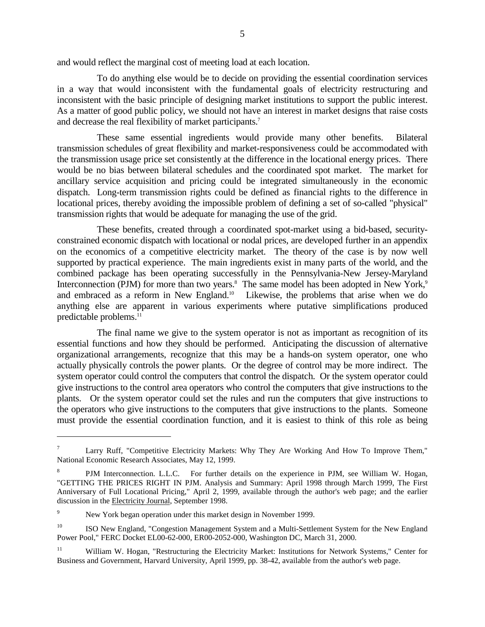and would reflect the marginal cost of meeting load at each location.

To do anything else would be to decide on providing the essential coordination services in a way that would inconsistent with the fundamental goals of electricity restructuring and inconsistent with the basic principle of designing market institutions to support the public interest. As a matter of good public policy, we should not have an interest in market designs that raise costs and decrease the real flexibility of market participants.<sup>7</sup>

These same essential ingredients would provide many other benefits. Bilateral transmission schedules of great flexibility and market-responsiveness could be accommodated with the transmission usage price set consistently at the difference in the locational energy prices. There would be no bias between bilateral schedules and the coordinated spot market. The market for ancillary service acquisition and pricing could be integrated simultaneously in the economic dispatch. Long-term transmission rights could be defined as financial rights to the difference in locational prices, thereby avoiding the impossible problem of defining a set of so-called "physical" transmission rights that would be adequate for managing the use of the grid.

These benefits, created through a coordinated spot-market using a bid-based, securityconstrained economic dispatch with locational or nodal prices, are developed further in an appendix on the economics of a competitive electricity market. The theory of the case is by now well supported by practical experience. The main ingredients exist in many parts of the world, and the combined package has been operating successfully in the Pennsylvania-New Jersey-Maryland Interconnection (PJM) for more than two years.<sup>8</sup> The same model has been adopted in New York,<sup>9</sup> and embraced as a reform in New England.<sup>10</sup> Likewise, the problems that arise when we do anything else are apparent in various experiments where putative simplifications produced predictable problems.<sup>11</sup>

The final name we give to the system operator is not as important as recognition of its essential functions and how they should be performed. Anticipating the discussion of alternative organizational arrangements, recognize that this may be a hands-on system operator, one who actually physically controls the power plants. Or the degree of control may be more indirect. The system operator could control the computers that control the dispatch. Or the system operator could give instructions to the control area operators who control the computers that give instructions to the plants. Or the system operator could set the rules and run the computers that give instructions to the operators who give instructions to the computers that give instructions to the plants. Someone must provide the essential coordination function, and it is easiest to think of this role as being

Larry Ruff, "Competitive Electricity Markets: Why They Are Working And How To Improve Them," National Economic Research Associates, May 12, 1999.

<sup>8</sup> PJM Interconnection. L.L.C. For further details on the experience in PJM, see William W. Hogan, "GETTING THE PRICES RIGHT IN PJM. Analysis and Summary: April 1998 through March 1999, The First Anniversary of Full Locational Pricing," April 2, 1999, available through the author's web page; and the earlier discussion in the Electricity Journal, September 1998.

<sup>9</sup> New York began operation under this market design in November 1999.

<sup>&</sup>lt;sup>10</sup> ISO New England, "Congestion Management System and a Multi-Settlement System for the New England Power Pool," FERC Docket EL00-62-000, ER00-2052-000, Washington DC, March 31, 2000.

<sup>11</sup> William W. Hogan, "Restructuring the Electricity Market: Institutions for Network Systems," Center for Business and Government, Harvard University, April 1999, pp. 38-42, available from the author's web page.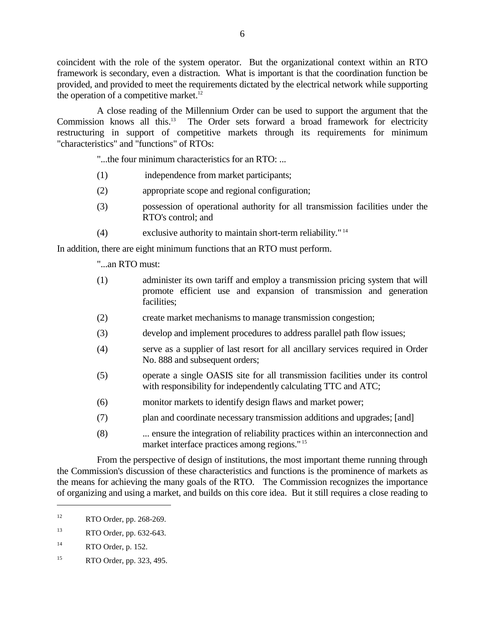coincident with the role of the system operator. But the organizational context within an RTO framework is secondary, even a distraction. What is important is that the coordination function be provided, and provided to meet the requirements dictated by the electrical network while supporting the operation of a competitive market. $12$ 

A close reading of the Millennium Order can be used to support the argument that the Commission knows all this.<sup>13</sup> The Order sets forward a broad framework for electricity restructuring in support of competitive markets through its requirements for minimum "characteristics" and "functions" of RTOs:

"...the four minimum characteristics for an RTO: ...

- (1) independence from market participants;
- (2) appropriate scope and regional configuration;
- (3) possession of operational authority for all transmission facilities under the RTO's control; and
- (4) exclusive authority to maintain short-term reliability."  $14$

In addition, there are eight minimum functions that an RTO must perform.

"...an RTO must:

- (1) administer its own tariff and employ a transmission pricing system that will promote efficient use and expansion of transmission and generation facilities;
- (2) create market mechanisms to manage transmission congestion;
- (3) develop and implement procedures to address parallel path flow issues;
- (4) serve as a supplier of last resort for all ancillary services required in Order No. 888 and subsequent orders;
- (5) operate a single OASIS site for all transmission facilities under its control with responsibility for independently calculating TTC and ATC;
- (6) monitor markets to identify design flaws and market power;
- (7) plan and coordinate necessary transmission additions and upgrades; [and]
- (8) ... ensure the integration of reliability practices within an interconnection and market interface practices among regions." 15

From the perspective of design of institutions, the most important theme running through the Commission's discussion of these characteristics and functions is the prominence of markets as the means for achieving the many goals of the RTO. The Commission recognizes the importance of organizing and using a market, and builds on this core idea. But it still requires a close reading to

 $\frac{12}{\text{RTO Order, pp. 268-269}}$ .

<sup>13</sup> RTO Order, pp. 632-643.

 $\mu$ <sup>14</sup> RTO Order, p. 152.

<sup>15</sup> RTO Order, pp. 323, 495.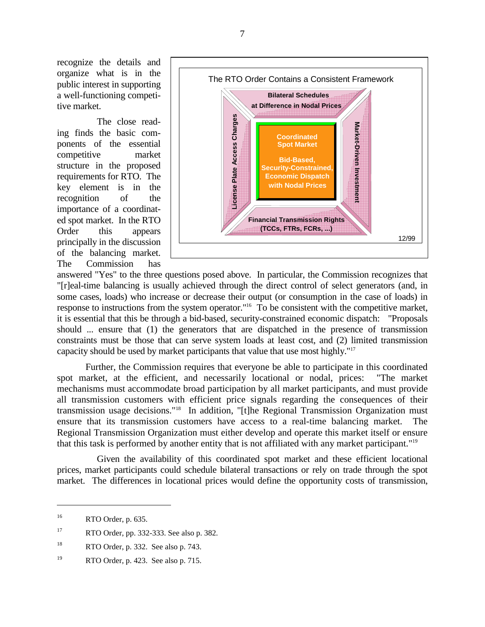recognize the details and organize what is in the public interest in supporting a well-functioning competitive market.

The close reading finds the basic components of the essential competitive market structure in the proposed requirements for RTO. The key element is in the recognition of the importance of a coordinated spot market. In the RTO Order this appears principally in the discussion of the balancing market. The Commission has



answered "Yes" to the three questions posed above. In particular, the Commission recognizes that "[r]eal-time balancing is usually achieved through the direct control of select generators (and, in some cases, loads) who increase or decrease their output (or consumption in the case of loads) in response to instructions from the system operator."16 To be consistent with the competitive market, it is essential that this be through a bid-based, security-constrained economic dispatch: "Proposals should ... ensure that (1) the generators that are dispatched in the presence of transmission constraints must be those that can serve system loads at least cost, and (2) limited transmission capacity should be used by market participants that value that use most highly."17

Further, the Commission requires that everyone be able to participate in this coordinated spot market, at the efficient, and necessarily locational or nodal, prices: "The market mechanisms must accommodate broad participation by all market participants, and must provide all transmission customers with efficient price signals regarding the consequences of their transmission usage decisions."18 In addition, "[t]he Regional Transmission Organization must ensure that its transmission customers have access to a real-time balancing market. The Regional Transmission Organization must either develop and operate this market itself or ensure that this task is performed by another entity that is not affiliated with any market participant."19

Given the availability of this coordinated spot market and these efficient locational prices, market participants could schedule bilateral transactions or rely on trade through the spot market. The differences in locational prices would define the opportunity costs of transmission,

<sup>16</sup> RTO Order, p. 635.

<sup>17</sup> RTO Order, pp. 332-333. See also p. 382.

<sup>18</sup> RTO Order, p. 332. See also p. 743.

<sup>&</sup>lt;sup>19</sup> RTO Order, p. 423. See also p. 715.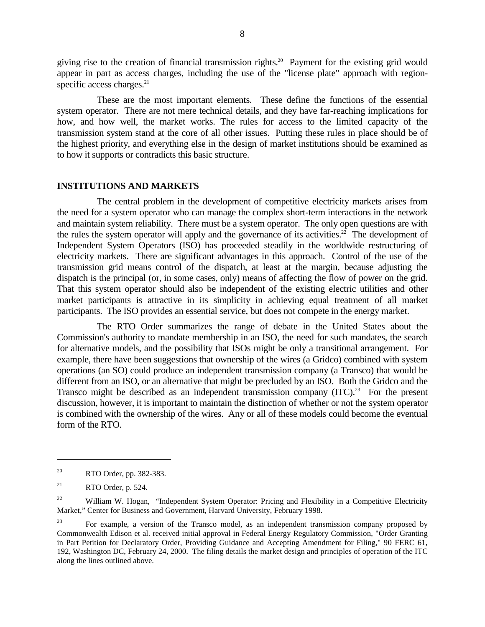giving rise to the creation of financial transmission rights.<sup>20</sup> Payment for the existing grid would appear in part as access charges, including the use of the "license plate" approach with regionspecific access charges.<sup>21</sup>

These are the most important elements. These define the functions of the essential system operator. There are not mere technical details, and they have far-reaching implications for how, and how well, the market works. The rules for access to the limited capacity of the transmission system stand at the core of all other issues. Putting these rules in place should be of the highest priority, and everything else in the design of market institutions should be examined as to how it supports or contradicts this basic structure.

#### **INSTITUTIONS AND MARKETS**

The central problem in the development of competitive electricity markets arises from the need for a system operator who can manage the complex short-term interactions in the network and maintain system reliability. There must be a system operator. The only open questions are with the rules the system operator will apply and the governance of its activities.<sup>22</sup> The development of Independent System Operators (ISO) has proceeded steadily in the worldwide restructuring of electricity markets. There are significant advantages in this approach. Control of the use of the transmission grid means control of the dispatch, at least at the margin, because adjusting the dispatch is the principal (or, in some cases, only) means of affecting the flow of power on the grid. That this system operator should also be independent of the existing electric utilities and other market participants is attractive in its simplicity in achieving equal treatment of all market participants. The ISO provides an essential service, but does not compete in the energy market.

The RTO Order summarizes the range of debate in the United States about the Commission's authority to mandate membership in an ISO, the need for such mandates, the search for alternative models, and the possibility that ISOs might be only a transitional arrangement. For example, there have been suggestions that ownership of the wires (a Gridco) combined with system operations (an SO) could produce an independent transmission company (a Transco) that would be different from an ISO, or an alternative that might be precluded by an ISO. Both the Gridco and the Transco might be described as an independent transmission company  $(ITC)^{23}$  For the present discussion, however, it is important to maintain the distinction of whether or not the system operator is combined with the ownership of the wires. Any or all of these models could become the eventual form of the RTO.

<sup>20</sup> RTO Order, pp. 382-383.

<sup>&</sup>lt;sup>21</sup> RTO Order, p. 524.

<sup>&</sup>lt;sup>22</sup> William W. Hogan, "Independent System Operator: Pricing and Flexibility in a Competitive Electricity Market," Center for Business and Government, Harvard University, February 1998.

<sup>&</sup>lt;sup>23</sup> For example, a version of the Transco model, as an independent transmission company proposed by Commonwealth Edison et al. received initial approval in Federal Energy Regulatory Commission, "Order Granting in Part Petition for Declaratory Order, Providing Guidance and Accepting Amendment for Filing," 90 FERC 61, 192, Washington DC, February 24, 2000. The filing details the market design and principles of operation of the ITC along the lines outlined above.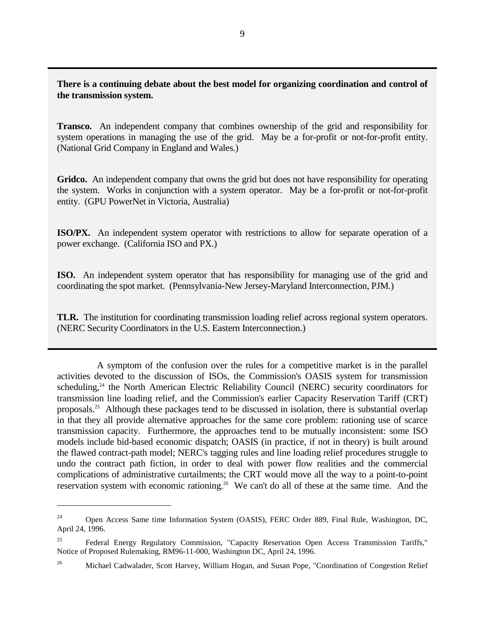## **There is a continuing debate about the best model for organizing coordination and control of the transmission system.**

**Transco.** An independent company that combines ownership of the grid and responsibility for system operations in managing the use of the grid. May be a for-profit or not-for-profit entity. (National Grid Company in England and Wales.)

Gridco. An independent company that owns the grid but does not have responsibility for operating the system. Works in conjunction with a system operator. May be a for-profit or not-for-profit entity. (GPU PowerNet in Victoria, Australia)

**ISO/PX.** An independent system operator with restrictions to allow for separate operation of a power exchange. (California ISO and PX.)

**ISO.** An independent system operator that has responsibility for managing use of the grid and coordinating the spot market. (Pennsylvania-New Jersey-Maryland Interconnection, PJM.)

**TLR.** The institution for coordinating transmission loading relief across regional system operators. (NERC Security Coordinators in the U.S. Eastern Interconnection.)

A symptom of the confusion over the rules for a competitive market is in the parallel activities devoted to the discussion of ISOs, the Commission's OASIS system for transmission scheduling,<sup>24</sup> the North American Electric Reliability Council (NERC) security coordinators for transmission line loading relief, and the Commission's earlier Capacity Reservation Tariff (CRT) proposals.25 Although these packages tend to be discussed in isolation, there is substantial overlap in that they all provide alternative approaches for the same core problem: rationing use of scarce transmission capacity. Furthermore, the approaches tend to be mutually inconsistent: some ISO models include bid-based economic dispatch; OASIS (in practice, if not in theory) is built around the flawed contract-path model; NERC's tagging rules and line loading relief procedures struggle to undo the contract path fiction, in order to deal with power flow realities and the commercial complications of administrative curtailments; the CRT would move all the way to a point-to-point reservation system with economic rationing.<sup>26</sup> We can't do all of these at the same time. And the

<sup>&</sup>lt;sup>24</sup> Open Access Same time Information System (OASIS), FERC Order 889, Final Rule, Washington, DC, April 24, 1996.

<sup>&</sup>lt;sup>25</sup> Federal Energy Regulatory Commission, "Capacity Reservation Open Access Transmission Tariffs," Notice of Proposed Rulemaking, RM96-11-000, Washington DC, April 24, 1996.

<sup>&</sup>lt;sup>26</sup> Michael Cadwalader, Scott Harvey, William Hogan, and Susan Pope, "Coordination of Congestion Relief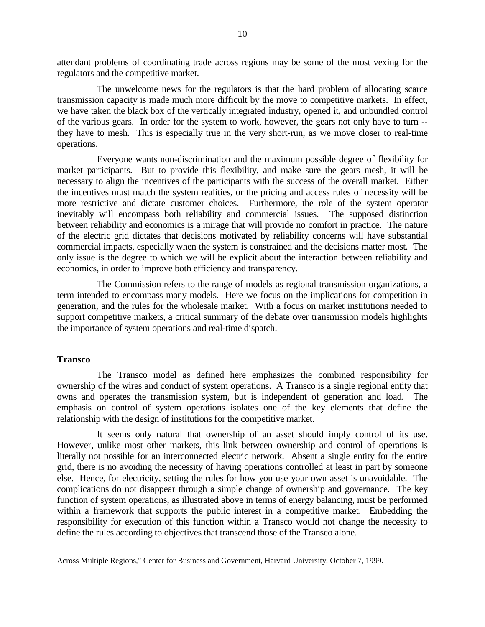attendant problems of coordinating trade across regions may be some of the most vexing for the regulators and the competitive market.

The unwelcome news for the regulators is that the hard problem of allocating scarce transmission capacity is made much more difficult by the move to competitive markets. In effect, we have taken the black box of the vertically integrated industry, opened it, and unbundled control of the various gears. In order for the system to work, however, the gears not only have to turn - they have to mesh. This is especially true in the very short-run, as we move closer to real-time operations.

Everyone wants non-discrimination and the maximum possible degree of flexibility for market participants. But to provide this flexibility, and make sure the gears mesh, it will be necessary to align the incentives of the participants with the success of the overall market. Either the incentives must match the system realities, or the pricing and access rules of necessity will be more restrictive and dictate customer choices. Furthermore, the role of the system operator inevitably will encompass both reliability and commercial issues. The supposed distinction between reliability and economics is a mirage that will provide no comfort in practice. The nature of the electric grid dictates that decisions motivated by reliability concerns will have substantial commercial impacts, especially when the system is constrained and the decisions matter most. The only issue is the degree to which we will be explicit about the interaction between reliability and economics, in order to improve both efficiency and transparency.

The Commission refers to the range of models as regional transmission organizations, a term intended to encompass many models. Here we focus on the implications for competition in generation, and the rules for the wholesale market. With a focus on market institutions needed to support competitive markets, a critical summary of the debate over transmission models highlights the importance of system operations and real-time dispatch.

#### **Transco**

 $\overline{a}$ 

The Transco model as defined here emphasizes the combined responsibility for ownership of the wires and conduct of system operations. A Transco is a single regional entity that owns and operates the transmission system, but is independent of generation and load. The emphasis on control of system operations isolates one of the key elements that define the relationship with the design of institutions for the competitive market.

It seems only natural that ownership of an asset should imply control of its use. However, unlike most other markets, this link between ownership and control of operations is literally not possible for an interconnected electric network. Absent a single entity for the entire grid, there is no avoiding the necessity of having operations controlled at least in part by someone else. Hence, for electricity, setting the rules for how you use your own asset is unavoidable. The complications do not disappear through a simple change of ownership and governance. The key function of system operations, as illustrated above in terms of energy balancing, must be performed within a framework that supports the public interest in a competitive market. Embedding the responsibility for execution of this function within a Transco would not change the necessity to define the rules according to objectives that transcend those of the Transco alone.

Across Multiple Regions," Center for Business and Government, Harvard University, October 7, 1999.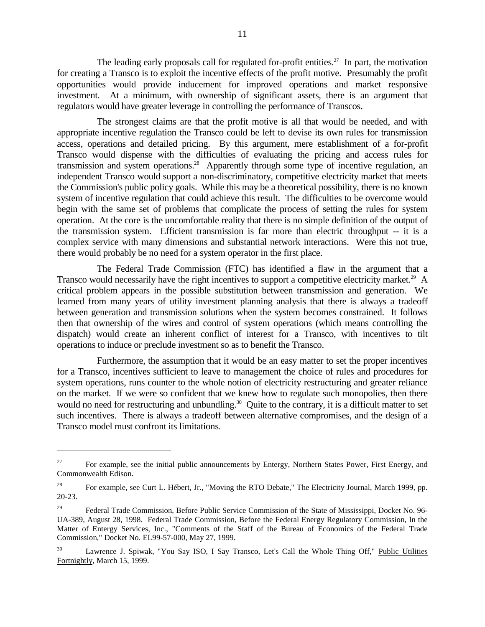The leading early proposals call for regulated for-profit entities.<sup>27</sup> In part, the motivation for creating a Transco is to exploit the incentive effects of the profit motive. Presumably the profit opportunities would provide inducement for improved operations and market responsive investment. At a minimum, with ownership of significant assets, there is an argument that regulators would have greater leverage in controlling the performance of Transcos.

The strongest claims are that the profit motive is all that would be needed, and with appropriate incentive regulation the Transco could be left to devise its own rules for transmission access, operations and detailed pricing. By this argument, mere establishment of a for-profit Transco would dispense with the difficulties of evaluating the pricing and access rules for transmission and system operations.<sup>28</sup> Apparently through some type of incentive regulation, an independent Transco would support a non-discriminatory, competitive electricity market that meets the Commission's public policy goals. While this may be a theoretical possibility, there is no known system of incentive regulation that could achieve this result. The difficulties to be overcome would begin with the same set of problems that complicate the process of setting the rules for system operation. At the core is the uncomfortable reality that there is no simple definition of the output of the transmission system. Efficient transmission is far more than electric throughput -- it is a complex service with many dimensions and substantial network interactions. Were this not true, there would probably be no need for a system operator in the first place.

The Federal Trade Commission (FTC) has identified a flaw in the argument that a Transco would necessarily have the right incentives to support a competitive electricity market.<sup>29</sup> A critical problem appears in the possible substitution between transmission and generation. We learned from many years of utility investment planning analysis that there is always a tradeoff between generation and transmission solutions when the system becomes constrained. It follows then that ownership of the wires and control of system operations (which means controlling the dispatch) would create an inherent conflict of interest for a Transco, with incentives to tilt operations to induce or preclude investment so as to benefit the Transco.

Furthermore, the assumption that it would be an easy matter to set the proper incentives for a Transco, incentives sufficient to leave to management the choice of rules and procedures for system operations, runs counter to the whole notion of electricity restructuring and greater reliance on the market. If we were so confident that we knew how to regulate such monopolies, then there would no need for restructuring and unbundling.<sup>30</sup> Quite to the contrary, it is a difficult matter to set such incentives. There is always a tradeoff between alternative compromises, and the design of a Transco model must confront its limitations.

<sup>&</sup>lt;sup>27</sup> For example, see the initial public announcements by Entergy, Northern States Power, First Energy, and Commonwealth Edison.

<sup>&</sup>lt;sup>28</sup> For example, see Curt L. Hébert, Jr., "Moving the RTO Debate," The Electricity Journal, March 1999, pp. 20-23.

<sup>&</sup>lt;sup>29</sup> Federal Trade Commission, Before Public Service Commission of the State of Mississippi, Docket No. 96-UA-389, August 28, 1998. Federal Trade Commission, Before the Federal Energy Regulatory Commission, In the Matter of Entergy Services, Inc., "Comments of the Staff of the Bureau of Economics of the Federal Trade Commission," Docket No. EL99-57-000, May 27, 1999.

<sup>&</sup>lt;sup>30</sup> Lawrence J. Spiwak, "You Say ISO, I Say Transco, Let's Call the Whole Thing Off," Public Utilities Fortnightly, March 15, 1999.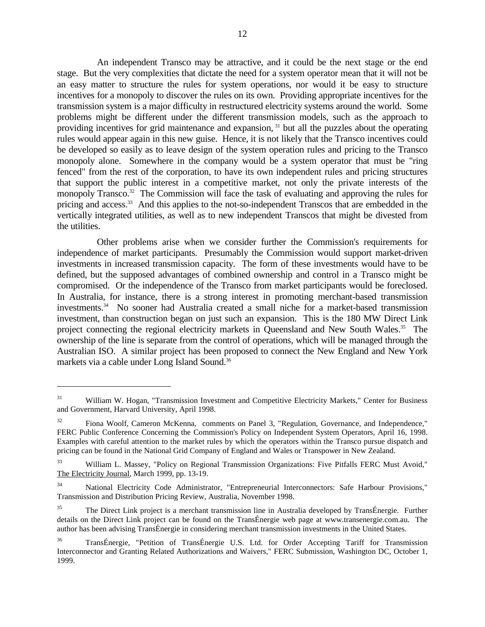An independent Transco may be attractive, and it could be the next stage or the end stage. But the very complexities that dictate the need for a system operator mean that it will not be an easy matter to structure the rules for system operations, nor would it be easy to structure incentives for a monopoly to discover the rules on its own. Providing appropriate incentives for the transmission system is a major difficulty in restructured electricity systems around the world. Some problems might be different under the different transmission models, such as the approach to providing incentives for grid maintenance and expansion, 31 but all the puzzles about the operating rules would appear again in this new guise. Hence, it is not likely that the Transco incentives could be developed so easily as to leave design of the system operation rules and pricing to the Transco monopoly alone. Somewhere in the company would be a system operator that must be "ring fenced" from the rest of the corporation, to have its own independent rules and pricing structures that support the public interest in a competitive market, not only the private interests of the monopoly Transco.<sup>32</sup> The Commission will face the task of evaluating and approving the rules for pricing and access.<sup>33</sup> And this applies to the not-so-independent Transcos that are embedded in the vertically integrated utilities, as well as to new independent Transcos that might be divested from the utilities.

Other problems arise when we consider further the Commission's requirements for independence of market participants. Presumably the Commission would support market-driven investments in increased transmission capacity. The form of these investments would have to be defined, but the supposed advantages of combined ownership and control in a Transco might be compromised. Or the independence of the Transco from market participants would be foreclosed. In Australia, for instance, there is a strong interest in promoting merchant-based transmission investments.34 No sooner had Australia created a small niche for a market-based transmission investment, than construction began on just such an expansion. This is the 180 MW Direct Link project connecting the regional electricity markets in Queensland and New South Wales.<sup>35</sup> The ownership of the line is separate from the control of operations, which will be managed through the Australian ISO. A similar project has been proposed to connect the New England and New York markets via a cable under Long Island Sound.36

<sup>&</sup>lt;sup>31</sup> William W. Hogan, "Transmission Investment and Competitive Electricity Markets," Center for Business and Government, Harvard University, April 1998.

<sup>&</sup>lt;sup>32</sup> Fiona Woolf, Cameron McKenna, comments on Panel 3, "Regulation, Governance, and Independence," FERC Public Conference Concerning the Commission's Policy on Independent System Operators, April 16, 1998. Examples with careful attention to the market rules by which the operators within the Transco pursue dispatch and pricing can be found in the National Grid Company of England and Wales or Transpower in New Zealand.

<sup>&</sup>lt;sup>33</sup> William L. Massey, "Policy on Regional Transmission Organizations: Five Pitfalls FERC Must Avoid," The Electricity Journal, March 1999, pp. 13-19.

<sup>34</sup> National Electricity Code Administrator, "Entrepreneurial Interconnectors: Safe Harbour Provisions," Transmission and Distribution Pricing Review, Australia, November 1998.

<sup>&</sup>lt;sup>35</sup> The Direct Link project is a merchant transmission line in Australia developed by TransÉnergie. Further details on the Direct Link project can be found on the TransÉnergie web page at www.transenergie.com.au. The author has been advising TransÉnergie in considering merchant transmission investments in the United States.

<sup>36</sup> TransÉnergie, "Petition of TransÉnergie U.S. Ltd. for Order Accepting Tariff for Transmission Interconnector and Granting Related Authorizations and Waivers," FERC Submission, Washington DC, October 1, 1999.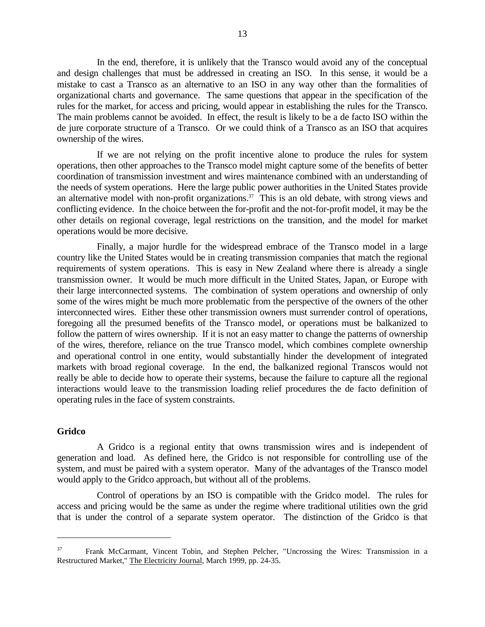In the end, therefore, it is unlikely that the Transco would avoid any of the conceptual and design challenges that must be addressed in creating an ISO. In this sense, it would be a mistake to cast a Transco as an alternative to an ISO in any way other than the formalities of organizational charts and governance. The same questions that appear in the specification of the rules for the market, for access and pricing, would appear in establishing the rules for the Transco. The main problems cannot be avoided. In effect, the result is likely to be a de facto ISO within the de jure corporate structure of a Transco. Or we could think of a Transco as an ISO that acquires ownership of the wires.

If we are not relying on the profit incentive alone to produce the rules for system operations, then other approaches to the Transco model might capture some of the benefits of better coordination of transmission investment and wires maintenance combined with an understanding of the needs of system operations. Here the large public power authorities in the United States provide an alternative model with non-profit organizations.<sup>37</sup> This is an old debate, with strong views and conflicting evidence. In the choice between the for-profit and the not-for-profit model, it may be the other details on regional coverage, legal restrictions on the transition, and the model for market operations would be more decisive.

Finally, a major hurdle for the widespread embrace of the Transco model in a large country like the United States would be in creating transmission companies that match the regional requirements of system operations. This is easy in New Zealand where there is already a single transmission owner. It would be much more difficult in the United States, Japan, or Europe with their large interconnected systems. The combination of system operations and ownership of only some of the wires might be much more problematic from the perspective of the owners of the other interconnected wires. Either these other transmission owners must surrender control of operations, foregoing all the presumed benefits of the Transco model, or operations must be balkanized to follow the pattern of wires ownership. If it is not an easy matter to change the patterns of ownership of the wires, therefore, reliance on the true Transco model, which combines complete ownership and operational control in one entity, would substantially hinder the development of integrated markets with broad regional coverage. In the end, the balkanized regional Transcos would not really be able to decide how to operate their systems, because the failure to capture all the regional interactions would leave to the transmission loading relief procedures the de facto definition of operating rules in the face of system constraints.

## **Gridco**

 $\overline{a}$ 

A Gridco is a regional entity that owns transmission wires and is independent of generation and load. As defined here, the Gridco is not responsible for controlling use of the system, and must be paired with a system operator. Many of the advantages of the Transco model would apply to the Gridco approach, but without all of the problems.

Control of operations by an ISO is compatible with the Gridco model. The rules for access and pricing would be the same as under the regime where traditional utilities own the grid that is under the control of a separate system operator. The distinction of the Gridco is that

<sup>&</sup>lt;sup>37</sup> Frank McCarmant, Vincent Tobin, and Stephen Pelcher, "Uncrossing the Wires: Transmission in a Restructured Market," The Electricity Journal, March 1999, pp. 24-35.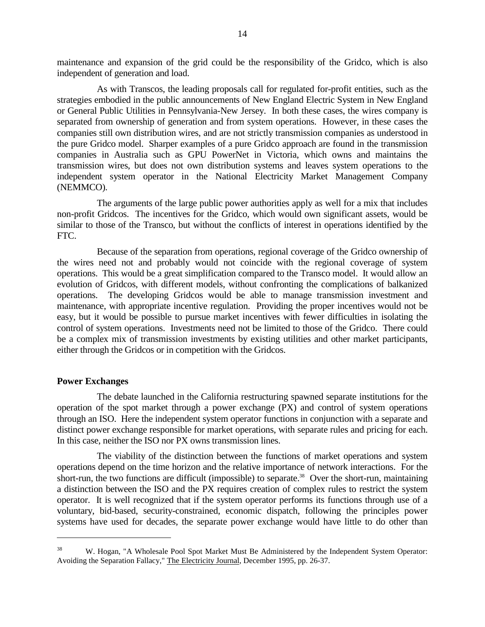maintenance and expansion of the grid could be the responsibility of the Gridco, which is also independent of generation and load.

As with Transcos, the leading proposals call for regulated for-profit entities, such as the strategies embodied in the public announcements of New England Electric System in New England or General Public Utilities in Pennsylvania-New Jersey. In both these cases, the wires company is separated from ownership of generation and from system operations. However, in these cases the companies still own distribution wires, and are not strictly transmission companies as understood in the pure Gridco model. Sharper examples of a pure Gridco approach are found in the transmission companies in Australia such as GPU PowerNet in Victoria, which owns and maintains the transmission wires, but does not own distribution systems and leaves system operations to the independent system operator in the National Electricity Market Management Company (NEMMCO).

The arguments of the large public power authorities apply as well for a mix that includes non-profit Gridcos. The incentives for the Gridco, which would own significant assets, would be similar to those of the Transco, but without the conflicts of interest in operations identified by the FTC.

Because of the separation from operations, regional coverage of the Gridco ownership of the wires need not and probably would not coincide with the regional coverage of system operations. This would be a great simplification compared to the Transco model. It would allow an evolution of Gridcos, with different models, without confronting the complications of balkanized operations. The developing Gridcos would be able to manage transmission investment and maintenance, with appropriate incentive regulation. Providing the proper incentives would not be easy, but it would be possible to pursue market incentives with fewer difficulties in isolating the control of system operations. Investments need not be limited to those of the Gridco. There could be a complex mix of transmission investments by existing utilities and other market participants, either through the Gridcos or in competition with the Gridcos.

#### **Power Exchanges**

 $\overline{a}$ 

The debate launched in the California restructuring spawned separate institutions for the operation of the spot market through a power exchange (PX) and control of system operations through an ISO. Here the independent system operator functions in conjunction with a separate and distinct power exchange responsible for market operations, with separate rules and pricing for each. In this case, neither the ISO nor PX owns transmission lines.

The viability of the distinction between the functions of market operations and system operations depend on the time horizon and the relative importance of network interactions. For the short-run, the two functions are difficult (impossible) to separate.<sup>38</sup> Over the short-run, maintaining a distinction between the ISO and the PX requires creation of complex rules to restrict the system operator. It is well recognized that if the system operator performs its functions through use of a voluntary, bid-based, security-constrained, economic dispatch, following the principles power systems have used for decades, the separate power exchange would have little to do other than

<sup>&</sup>lt;sup>38</sup> W. Hogan, "A Wholesale Pool Spot Market Must Be Administered by the Independent System Operator: Avoiding the Separation Fallacy," The Electricity Journal, December 1995, pp. 26-37.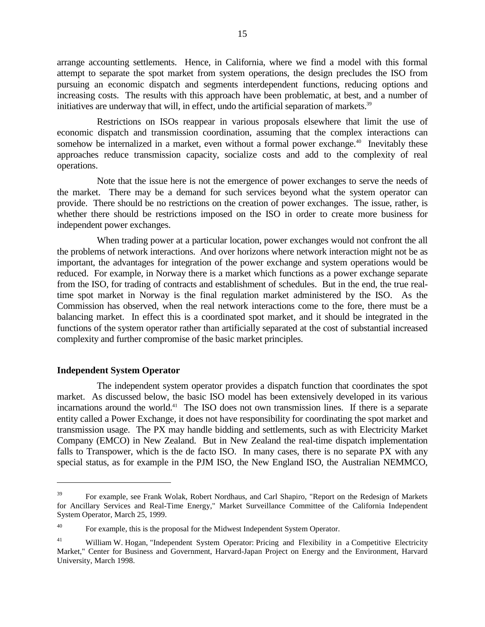arrange accounting settlements. Hence, in California, where we find a model with this formal attempt to separate the spot market from system operations, the design precludes the ISO from pursuing an economic dispatch and segments interdependent functions, reducing options and increasing costs. The results with this approach have been problematic, at best, and a number of initiatives are underway that will, in effect, undo the artificial separation of markets.<sup>39</sup>

Restrictions on ISOs reappear in various proposals elsewhere that limit the use of economic dispatch and transmission coordination, assuming that the complex interactions can somehow be internalized in a market, even without a formal power exchange.<sup>40</sup> Inevitably these approaches reduce transmission capacity, socialize costs and add to the complexity of real operations.

Note that the issue here is not the emergence of power exchanges to serve the needs of the market. There may be a demand for such services beyond what the system operator can provide. There should be no restrictions on the creation of power exchanges. The issue, rather, is whether there should be restrictions imposed on the ISO in order to create more business for independent power exchanges.

When trading power at a particular location, power exchanges would not confront the all the problems of network interactions. And over horizons where network interaction might not be as important, the advantages for integration of the power exchange and system operations would be reduced. For example, in Norway there is a market which functions as a power exchange separate from the ISO, for trading of contracts and establishment of schedules. But in the end, the true realtime spot market in Norway is the final regulation market administered by the ISO. As the Commission has observed, when the real network interactions come to the fore, there must be a balancing market. In effect this is a coordinated spot market, and it should be integrated in the functions of the system operator rather than artificially separated at the cost of substantial increased complexity and further compromise of the basic market principles.

### **Independent System Operator**

 $\overline{a}$ 

The independent system operator provides a dispatch function that coordinates the spot market. As discussed below, the basic ISO model has been extensively developed in its various incarnations around the world.<sup>41</sup> The ISO does not own transmission lines. If there is a separate entity called a Power Exchange, it does not have responsibility for coordinating the spot market and transmission usage. The PX may handle bidding and settlements, such as with Electricity Market Company (EMCO) in New Zealand. But in New Zealand the real-time dispatch implementation falls to Transpower, which is the de facto ISO. In many cases, there is no separate PX with any special status, as for example in the PJM ISO, the New England ISO, the Australian NEMMCO,

<sup>&</sup>lt;sup>39</sup> For example, see Frank Wolak, Robert Nordhaus, and Carl Shapiro, "Report on the Redesign of Markets for Ancillary Services and Real-Time Energy," Market Surveillance Committee of the California Independent System Operator, March 25, 1999.

<sup>&</sup>lt;sup>40</sup> For example, this is the proposal for the Midwest Independent System Operator.

<sup>&</sup>lt;sup>41</sup> William W. Hogan, "Independent System Operator: Pricing and Flexibility in a Competitive Electricity Market," Center for Business and Government, Harvard-Japan Project on Energy and the Environment, Harvard University, March 1998.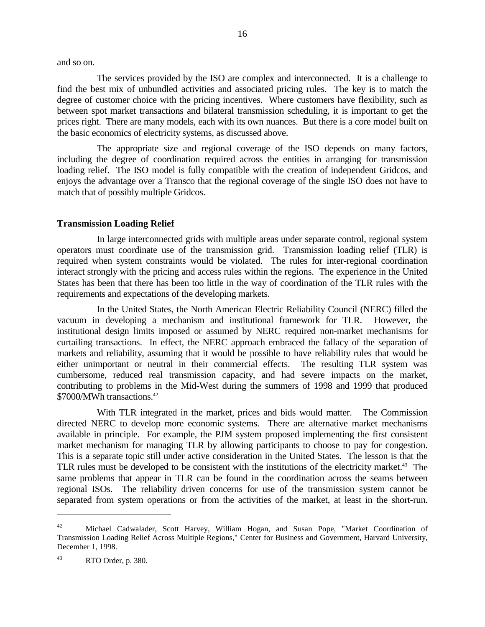and so on.

The services provided by the ISO are complex and interconnected. It is a challenge to find the best mix of unbundled activities and associated pricing rules. The key is to match the degree of customer choice with the pricing incentives. Where customers have flexibility, such as between spot market transactions and bilateral transmission scheduling, it is important to get the prices right. There are many models, each with its own nuances. But there is a core model built on the basic economics of electricity systems, as discussed above.

The appropriate size and regional coverage of the ISO depends on many factors, including the degree of coordination required across the entities in arranging for transmission loading relief. The ISO model is fully compatible with the creation of independent Gridcos, and enjoys the advantage over a Transco that the regional coverage of the single ISO does not have to match that of possibly multiple Gridcos.

#### **Transmission Loading Relief**

In large interconnected grids with multiple areas under separate control, regional system operators must coordinate use of the transmission grid. Transmission loading relief (TLR) is required when system constraints would be violated. The rules for inter-regional coordination interact strongly with the pricing and access rules within the regions. The experience in the United States has been that there has been too little in the way of coordination of the TLR rules with the requirements and expectations of the developing markets.

In the United States, the North American Electric Reliability Council (NERC) filled the vacuum in developing a mechanism and institutional framework for TLR. However, the institutional design limits imposed or assumed by NERC required non-market mechanisms for curtailing transactions. In effect, the NERC approach embraced the fallacy of the separation of markets and reliability, assuming that it would be possible to have reliability rules that would be either unimportant or neutral in their commercial effects. The resulting TLR system was cumbersome, reduced real transmission capacity, and had severe impacts on the market, contributing to problems in the Mid-West during the summers of 1998 and 1999 that produced \$7000/MWh transactions.<sup>42</sup>

With TLR integrated in the market, prices and bids would matter. The Commission directed NERC to develop more economic systems. There are alternative market mechanisms available in principle. For example, the PJM system proposed implementing the first consistent market mechanism for managing TLR by allowing participants to choose to pay for congestion. This is a separate topic still under active consideration in the United States. The lesson is that the TLR rules must be developed to be consistent with the institutions of the electricity market.<sup>43</sup> The same problems that appear in TLR can be found in the coordination across the seams between regional ISOs. The reliability driven concerns for use of the transmission system cannot be separated from system operations or from the activities of the market, at least in the short-run.

<sup>&</sup>lt;sup>42</sup> Michael Cadwalader, Scott Harvey, William Hogan, and Susan Pope, "Market Coordination of Transmission Loading Relief Across Multiple Regions," Center for Business and Government, Harvard University, December 1, 1998.

<sup>43</sup> RTO Order, p. 380.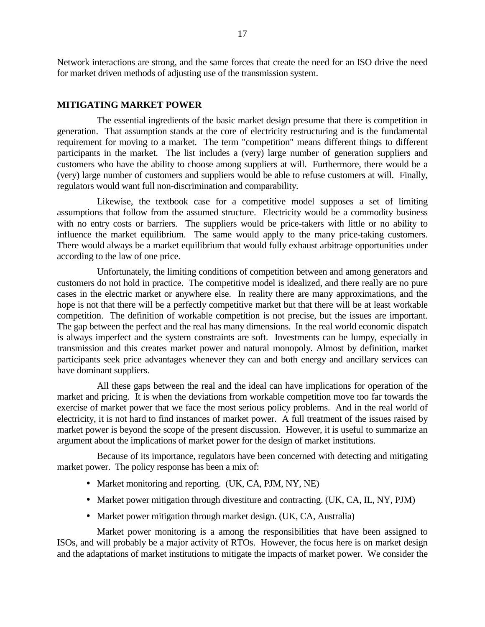Network interactions are strong, and the same forces that create the need for an ISO drive the need for market driven methods of adjusting use of the transmission system.

#### **MITIGATING MARKET POWER**

The essential ingredients of the basic market design presume that there is competition in generation. That assumption stands at the core of electricity restructuring and is the fundamental requirement for moving to a market. The term "competition" means different things to different participants in the market. The list includes a (very) large number of generation suppliers and customers who have the ability to choose among suppliers at will. Furthermore, there would be a (very) large number of customers and suppliers would be able to refuse customers at will. Finally, regulators would want full non-discrimination and comparability.

Likewise, the textbook case for a competitive model supposes a set of limiting assumptions that follow from the assumed structure. Electricity would be a commodity business with no entry costs or barriers. The suppliers would be price-takers with little or no ability to influence the market equilibrium. The same would apply to the many price-taking customers. There would always be a market equilibrium that would fully exhaust arbitrage opportunities under according to the law of one price.

Unfortunately, the limiting conditions of competition between and among generators and customers do not hold in practice. The competitive model is idealized, and there really are no pure cases in the electric market or anywhere else. In reality there are many approximations, and the hope is not that there will be a perfectly competitive market but that there will be at least workable competition. The definition of workable competition is not precise, but the issues are important. The gap between the perfect and the real has many dimensions. In the real world economic dispatch is always imperfect and the system constraints are soft. Investments can be lumpy, especially in transmission and this creates market power and natural monopoly. Almost by definition, market participants seek price advantages whenever they can and both energy and ancillary services can have dominant suppliers.

All these gaps between the real and the ideal can have implications for operation of the market and pricing. It is when the deviations from workable competition move too far towards the exercise of market power that we face the most serious policy problems. And in the real world of electricity, it is not hard to find instances of market power. A full treatment of the issues raised by market power is beyond the scope of the present discussion. However, it is useful to summarize an argument about the implications of market power for the design of market institutions.

Because of its importance, regulators have been concerned with detecting and mitigating market power. The policy response has been a mix of:

- Market monitoring and reporting. (UK, CA, PJM, NY, NE)
- Market power mitigation through divestiture and contracting. (UK, CA, IL, NY, PJM)
- Market power mitigation through market design. (UK, CA, Australia)

Market power monitoring is a among the responsibilities that have been assigned to ISOs, and will probably be a major activity of RTOs. However, the focus here is on market design and the adaptations of market institutions to mitigate the impacts of market power. We consider the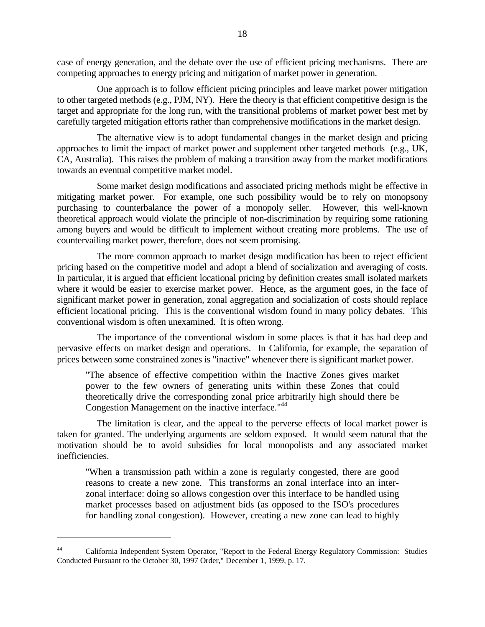case of energy generation, and the debate over the use of efficient pricing mechanisms. There are competing approaches to energy pricing and mitigation of market power in generation.

One approach is to follow efficient pricing principles and leave market power mitigation to other targeted methods (e.g., PJM, NY). Here the theory is that efficient competitive design is the target and appropriate for the long run, with the transitional problems of market power best met by carefully targeted mitigation efforts rather than comprehensive modifications in the market design.

The alternative view is to adopt fundamental changes in the market design and pricing approaches to limit the impact of market power and supplement other targeted methods (e.g., UK, CA, Australia). This raises the problem of making a transition away from the market modifications towards an eventual competitive market model.

Some market design modifications and associated pricing methods might be effective in mitigating market power. For example, one such possibility would be to rely on monopsony purchasing to counterbalance the power of a monopoly seller. However, this well-known theoretical approach would violate the principle of non-discrimination by requiring some rationing among buyers and would be difficult to implement without creating more problems. The use of countervailing market power, therefore, does not seem promising.

The more common approach to market design modification has been to reject efficient pricing based on the competitive model and adopt a blend of socialization and averaging of costs. In particular, it is argued that efficient locational pricing by definition creates small isolated markets where it would be easier to exercise market power. Hence, as the argument goes, in the face of significant market power in generation, zonal aggregation and socialization of costs should replace efficient locational pricing. This is the conventional wisdom found in many policy debates. This conventional wisdom is often unexamined. It is often wrong.

The importance of the conventional wisdom in some places is that it has had deep and pervasive effects on market design and operations. In California, for example, the separation of prices between some constrained zones is "inactive" whenever there is significant market power.

"The absence of effective competition within the Inactive Zones gives market power to the few owners of generating units within these Zones that could theoretically drive the corresponding zonal price arbitrarily high should there be Congestion Management on the inactive interface."<sup>44</sup>

The limitation is clear, and the appeal to the perverse effects of local market power is taken for granted. The underlying arguments are seldom exposed. It would seem natural that the motivation should be to avoid subsidies for local monopolists and any associated market inefficiencies.

"When a transmission path within a zone is regularly congested, there are good reasons to create a new zone. This transforms an zonal interface into an interzonal interface: doing so allows congestion over this interface to be handled using market processes based on adjustment bids (as opposed to the ISO's procedures for handling zonal congestion). However, creating a new zone can lead to highly

<sup>44</sup> California Independent System Operator, "Report to the Federal Energy Regulatory Commission: Studies Conducted Pursuant to the October 30, 1997 Order," December 1, 1999, p. 17.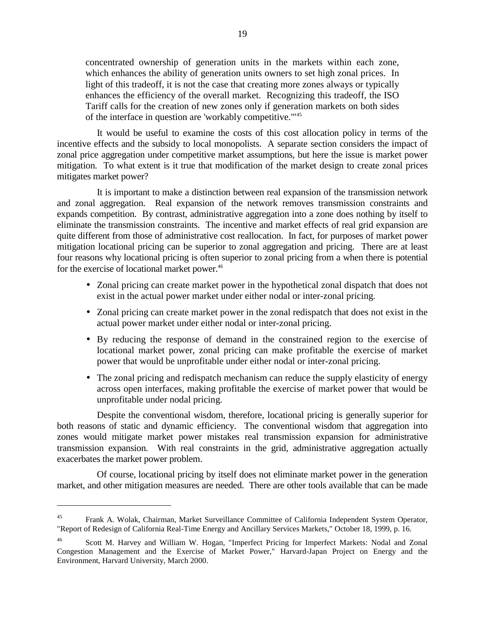concentrated ownership of generation units in the markets within each zone, which enhances the ability of generation units owners to set high zonal prices. In light of this tradeoff, it is not the case that creating more zones always or typically enhances the efficiency of the overall market. Recognizing this tradeoff, the ISO Tariff calls for the creation of new zones only if generation markets on both sides of the interface in question are 'workably competitive.'"45

It would be useful to examine the costs of this cost allocation policy in terms of the incentive effects and the subsidy to local monopolists. A separate section considers the impact of zonal price aggregation under competitive market assumptions, but here the issue is market power mitigation. To what extent is it true that modification of the market design to create zonal prices mitigates market power?

It is important to make a distinction between real expansion of the transmission network and zonal aggregation. Real expansion of the network removes transmission constraints and expands competition. By contrast, administrative aggregation into a zone does nothing by itself to eliminate the transmission constraints. The incentive and market effects of real grid expansion are quite different from those of administrative cost reallocation. In fact, for purposes of market power mitigation locational pricing can be superior to zonal aggregation and pricing. There are at least four reasons why locational pricing is often superior to zonal pricing from a when there is potential for the exercise of locational market power.<sup>46</sup>

- Zonal pricing can create market power in the hypothetical zonal dispatch that does not exist in the actual power market under either nodal or inter-zonal pricing.
- Zonal pricing can create market power in the zonal redispatch that does not exist in the actual power market under either nodal or inter-zonal pricing.
- By reducing the response of demand in the constrained region to the exercise of locational market power, zonal pricing can make profitable the exercise of market power that would be unprofitable under either nodal or inter-zonal pricing.
- The zonal pricing and redispatch mechanism can reduce the supply elasticity of energy across open interfaces, making profitable the exercise of market power that would be unprofitable under nodal pricing.

Despite the conventional wisdom, therefore, locational pricing is generally superior for both reasons of static and dynamic efficiency. The conventional wisdom that aggregation into zones would mitigate market power mistakes real transmission expansion for administrative transmission expansion. With real constraints in the grid, administrative aggregation actually exacerbates the market power problem.

Of course, locational pricing by itself does not eliminate market power in the generation market, and other mitigation measures are needed. There are other tools available that can be made

<sup>45</sup> Frank A. Wolak, Chairman, Market Surveillance Committee of California Independent System Operator, "Report of Redesign of California Real-Time Energy and Ancillary Services Markets," October 18, 1999, p. 16.

<sup>46</sup> Scott M. Harvey and William W. Hogan, "Imperfect Pricing for Imperfect Markets: Nodal and Zonal Congestion Management and the Exercise of Market Power," Harvard-Japan Project on Energy and the Environment, Harvard University, March 2000.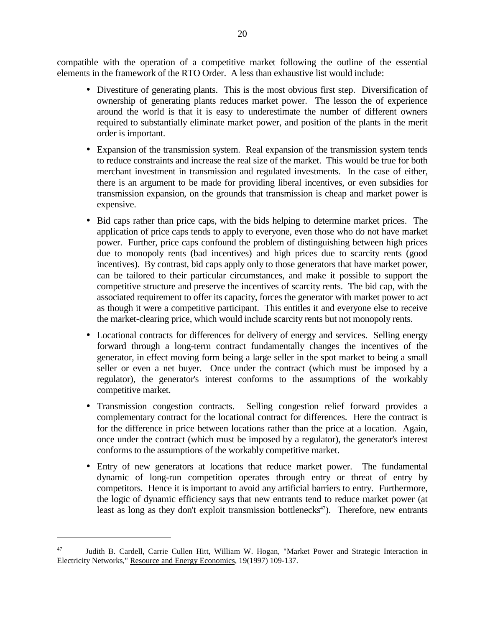compatible with the operation of a competitive market following the outline of the essential elements in the framework of the RTO Order. A less than exhaustive list would include:

- Divestiture of generating plants. This is the most obvious first step. Diversification of ownership of generating plants reduces market power. The lesson the of experience around the world is that it is easy to underestimate the number of different owners required to substantially eliminate market power, and position of the plants in the merit order is important.
- Expansion of the transmission system. Real expansion of the transmission system tends to reduce constraints and increase the real size of the market. This would be true for both merchant investment in transmission and regulated investments. In the case of either, there is an argument to be made for providing liberal incentives, or even subsidies for transmission expansion, on the grounds that transmission is cheap and market power is expensive.
- Bid caps rather than price caps, with the bids helping to determine market prices. The application of price caps tends to apply to everyone, even those who do not have market power. Further, price caps confound the problem of distinguishing between high prices due to monopoly rents (bad incentives) and high prices due to scarcity rents (good incentives). By contrast, bid caps apply only to those generators that have market power, can be tailored to their particular circumstances, and make it possible to support the competitive structure and preserve the incentives of scarcity rents. The bid cap, with the associated requirement to offer its capacity, forces the generator with market power to act as though it were a competitive participant. This entitles it and everyone else to receive the market-clearing price, which would include scarcity rents but not monopoly rents.
- Locational contracts for differences for delivery of energy and services. Selling energy forward through a long-term contract fundamentally changes the incentives of the generator, in effect moving form being a large seller in the spot market to being a small seller or even a net buyer. Once under the contract (which must be imposed by a regulator), the generator's interest conforms to the assumptions of the workably competitive market.
- Transmission congestion contracts. Selling congestion relief forward provides a complementary contract for the locational contract for differences. Here the contract is for the difference in price between locations rather than the price at a location. Again, once under the contract (which must be imposed by a regulator), the generator's interest conforms to the assumptions of the workably competitive market.
- Entry of new generators at locations that reduce market power. The fundamental dynamic of long-run competition operates through entry or threat of entry by competitors. Hence it is important to avoid any artificial barriers to entry. Furthermore, the logic of dynamic efficiency says that new entrants tend to reduce market power (at least as long as they don't exploit transmission bottlenecks<sup>47</sup>). Therefore, new entrants

<sup>47</sup> Judith B. Cardell, Carrie Cullen Hitt, William W. Hogan, "Market Power and Strategic Interaction in Electricity Networks," Resource and Energy Economics, 19(1997) 109-137.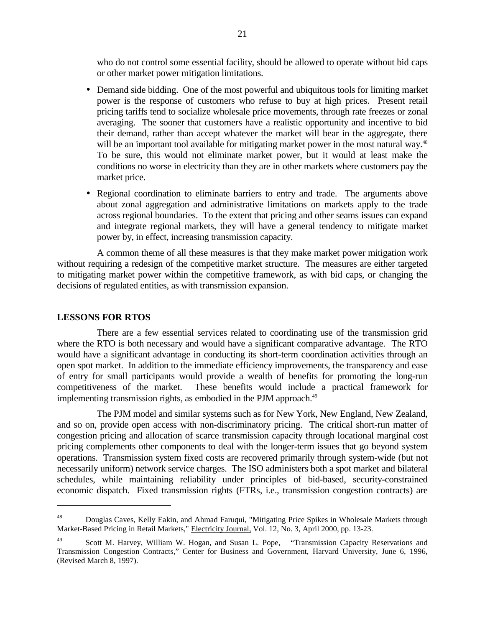who do not control some essential facility, should be allowed to operate without bid caps or other market power mitigation limitations.

- Demand side bidding. One of the most powerful and ubiquitous tools for limiting market power is the response of customers who refuse to buy at high prices. Present retail pricing tariffs tend to socialize wholesale price movements, through rate freezes or zonal averaging. The sooner that customers have a realistic opportunity and incentive to bid their demand, rather than accept whatever the market will bear in the aggregate, there will be an important tool available for mitigating market power in the most natural way.<sup>48</sup> To be sure, this would not eliminate market power, but it would at least make the conditions no worse in electricity than they are in other markets where customers pay the market price.
- Regional coordination to eliminate barriers to entry and trade. The arguments above about zonal aggregation and administrative limitations on markets apply to the trade across regional boundaries. To the extent that pricing and other seams issues can expand and integrate regional markets, they will have a general tendency to mitigate market power by, in effect, increasing transmission capacity.

A common theme of all these measures is that they make market power mitigation work without requiring a redesign of the competitive market structure. The measures are either targeted to mitigating market power within the competitive framework, as with bid caps, or changing the decisions of regulated entities, as with transmission expansion.

## **LESSONS FOR RTOS**

 $\overline{a}$ 

There are a few essential services related to coordinating use of the transmission grid where the RTO is both necessary and would have a significant comparative advantage. The RTO would have a significant advantage in conducting its short-term coordination activities through an open spot market. In addition to the immediate efficiency improvements, the transparency and ease of entry for small participants would provide a wealth of benefits for promoting the long-run competitiveness of the market. These benefits would include a practical framework for implementing transmission rights, as embodied in the PJM approach.<sup>49</sup>

The PJM model and similar systems such as for New York, New England, New Zealand, and so on, provide open access with non-discriminatory pricing. The critical short-run matter of congestion pricing and allocation of scarce transmission capacity through locational marginal cost pricing complements other components to deal with the longer-term issues that go beyond system operations. Transmission system fixed costs are recovered primarily through system-wide (but not necessarily uniform) network service charges. The ISO administers both a spot market and bilateral schedules, while maintaining reliability under principles of bid-based, security-constrained economic dispatch. Fixed transmission rights (FTRs, i.e., transmission congestion contracts) are

<sup>48</sup> Douglas Caves, Kelly Eakin, and Ahmad Faruqui, "Mitigating Price Spikes in Wholesale Markets through Market-Based Pricing in Retail Markets," Electricity Journal, Vol. 12, No. 3, April 2000, pp. 13-23.

<sup>49</sup> Scott M. Harvey, William W. Hogan, and Susan L. Pope, "Transmission Capacity Reservations and Transmission Congestion Contracts," Center for Business and Government, Harvard University, June 6, 1996, (Revised March 8, 1997).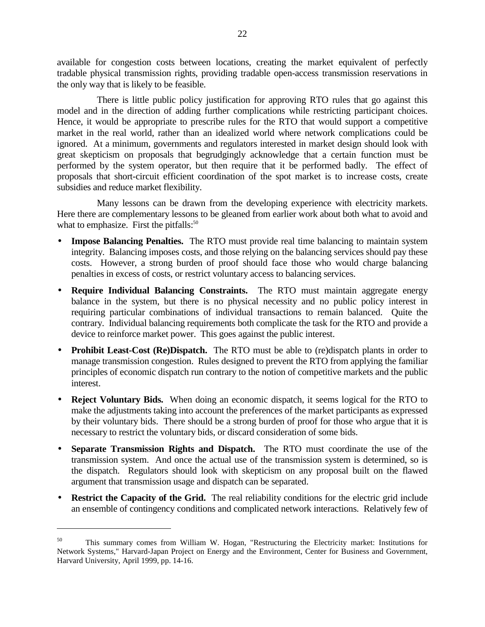available for congestion costs between locations, creating the market equivalent of perfectly tradable physical transmission rights, providing tradable open-access transmission reservations in the only way that is likely to be feasible.

There is little public policy justification for approving RTO rules that go against this model and in the direction of adding further complications while restricting participant choices. Hence, it would be appropriate to prescribe rules for the RTO that would support a competitive market in the real world, rather than an idealized world where network complications could be ignored. At a minimum, governments and regulators interested in market design should look with great skepticism on proposals that begrudgingly acknowledge that a certain function must be performed by the system operator, but then require that it be performed badly. The effect of proposals that short-circuit efficient coordination of the spot market is to increase costs, create subsidies and reduce market flexibility.

Many lessons can be drawn from the developing experience with electricity markets. Here there are complementary lessons to be gleaned from earlier work about both what to avoid and what to emphasize. First the pitfalls: $50$ 

- **Impose Balancing Penalties.** The RTO must provide real time balancing to maintain system integrity. Balancing imposes costs, and those relying on the balancing services should pay these costs. However, a strong burden of proof should face those who would charge balancing penalties in excess of costs, or restrict voluntary access to balancing services.
- **Require Individual Balancing Constraints.** The RTO must maintain aggregate energy balance in the system, but there is no physical necessity and no public policy interest in requiring particular combinations of individual transactions to remain balanced. Quite the contrary. Individual balancing requirements both complicate the task for the RTO and provide a device to reinforce market power. This goes against the public interest.
- **Prohibit Least-Cost (Re)Dispatch.** The RTO must be able to (re)dispatch plants in order to manage transmission congestion. Rules designed to prevent the RTO from applying the familiar principles of economic dispatch run contrary to the notion of competitive markets and the public interest.
- **Reject Voluntary Bids.** When doing an economic dispatch, it seems logical for the RTO to make the adjustments taking into account the preferences of the market participants as expressed by their voluntary bids. There should be a strong burden of proof for those who argue that it is necessary to restrict the voluntary bids, or discard consideration of some bids.
- **Separate Transmission Rights and Dispatch.** The RTO must coordinate the use of the transmission system. And once the actual use of the transmission system is determined, so is the dispatch. Regulators should look with skepticism on any proposal built on the flawed argument that transmission usage and dispatch can be separated.
- **Restrict the Capacity of the Grid.** The real reliability conditions for the electric grid include an ensemble of contingency conditions and complicated network interactions. Relatively few of

<sup>50</sup> This summary comes from William W. Hogan, "Restructuring the Electricity market: Institutions for Network Systems," Harvard-Japan Project on Energy and the Environment, Center for Business and Government, Harvard University, April 1999, pp. 14-16.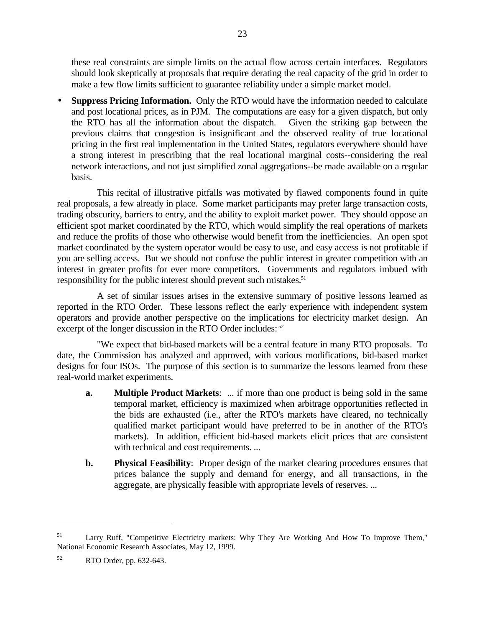these real constraints are simple limits on the actual flow across certain interfaces. Regulators should look skeptically at proposals that require derating the real capacity of the grid in order to make a few flow limits sufficient to guarantee reliability under a simple market model.

• **Suppress Pricing Information.** Only the RTO would have the information needed to calculate and post locational prices, as in PJM. The computations are easy for a given dispatch, but only the RTO has all the information about the dispatch. Given the striking gap between the previous claims that congestion is insignificant and the observed reality of true locational pricing in the first real implementation in the United States, regulators everywhere should have a strong interest in prescribing that the real locational marginal costs--considering the real network interactions, and not just simplified zonal aggregations--be made available on a regular basis.

This recital of illustrative pitfalls was motivated by flawed components found in quite real proposals, a few already in place. Some market participants may prefer large transaction costs, trading obscurity, barriers to entry, and the ability to exploit market power. They should oppose an efficient spot market coordinated by the RTO, which would simplify the real operations of markets and reduce the profits of those who otherwise would benefit from the inefficiencies. An open spot market coordinated by the system operator would be easy to use, and easy access is not profitable if you are selling access. But we should not confuse the public interest in greater competition with an interest in greater profits for ever more competitors. Governments and regulators imbued with responsibility for the public interest should prevent such mistakes.<sup>51</sup>

A set of similar issues arises in the extensive summary of positive lessons learned as reported in the RTO Order. These lessons reflect the early experience with independent system operators and provide another perspective on the implications for electricity market design. An excerpt of the longer discussion in the RTO Order includes:  $52$ 

"We expect that bid-based markets will be a central feature in many RTO proposals. To date, the Commission has analyzed and approved, with various modifications, bid-based market designs for four ISOs. The purpose of this section is to summarize the lessons learned from these real-world market experiments.

- **a. Multiple Product Markets**: ... if more than one product is being sold in the same temporal market, efficiency is maximized when arbitrage opportunities reflected in the bids are exhausted (i.e., after the RTO's markets have cleared, no technically qualified market participant would have preferred to be in another of the RTO's markets). In addition, efficient bid-based markets elicit prices that are consistent with technical and cost requirements. ...
- **b. Physical Feasibility**: Proper design of the market clearing procedures ensures that prices balance the supply and demand for energy, and all transactions, in the aggregate, are physically feasible with appropriate levels of reserves. ...

<sup>&</sup>lt;sup>51</sup> Larry Ruff, "Competitive Electricity markets: Why They Are Working And How To Improve Them," National Economic Research Associates, May 12, 1999.

<sup>52</sup> RTO Order, pp. 632-643.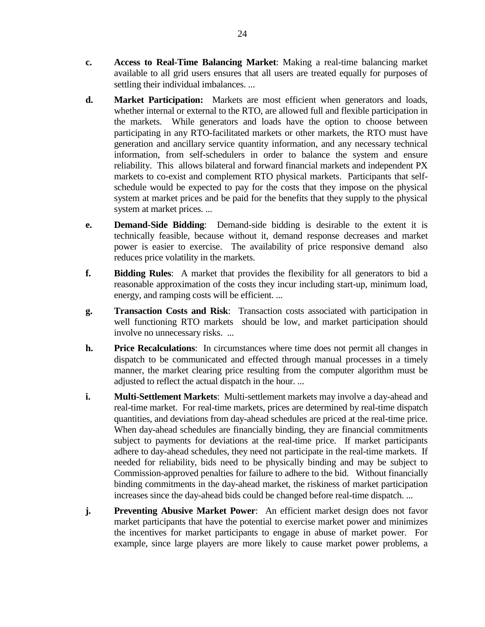- **c. Access to Real-Time Balancing Market**: Making a real-time balancing market available to all grid users ensures that all users are treated equally for purposes of settling their individual imbalances. ...
- **d. Market Participation:** Markets are most efficient when generators and loads, whether internal or external to the RTO, are allowed full and flexible participation in the markets. While generators and loads have the option to choose between participating in any RTO-facilitated markets or other markets, the RTO must have generation and ancillary service quantity information, and any necessary technical information, from self-schedulers in order to balance the system and ensure reliability. This allows bilateral and forward financial markets and independent PX markets to co-exist and complement RTO physical markets. Participants that selfschedule would be expected to pay for the costs that they impose on the physical system at market prices and be paid for the benefits that they supply to the physical system at market prices. ...
- **e. Demand-Side Bidding**: Demand-side bidding is desirable to the extent it is technically feasible, because without it, demand response decreases and market power is easier to exercise. The availability of price responsive demand also reduces price volatility in the markets.
- **f. Bidding Rules**: A market that provides the flexibility for all generators to bid a reasonable approximation of the costs they incur including start-up, minimum load, energy, and ramping costs will be efficient. ...
- **g. Transaction Costs and Risk**: Transaction costs associated with participation in well functioning RTO markets should be low, and market participation should involve no unnecessary risks. ...
- **h. Price Recalculations**: In circumstances where time does not permit all changes in dispatch to be communicated and effected through manual processes in a timely manner, the market clearing price resulting from the computer algorithm must be adjusted to reflect the actual dispatch in the hour. ...
- **i. Multi-Settlement Markets**: Multi-settlement markets may involve a day-ahead and real-time market. For real-time markets, prices are determined by real-time dispatch quantities, and deviations from day-ahead schedules are priced at the real-time price. When day-ahead schedules are financially binding, they are financial commitments subject to payments for deviations at the real-time price. If market participants adhere to day-ahead schedules, they need not participate in the real-time markets. If needed for reliability, bids need to be physically binding and may be subject to Commission-approved penalties for failure to adhere to the bid. Without financially binding commitments in the day-ahead market, the riskiness of market participation increases since the day-ahead bids could be changed before real-time dispatch. ...
- **j. Preventing Abusive Market Power**: An efficient market design does not favor market participants that have the potential to exercise market power and minimizes the incentives for market participants to engage in abuse of market power. For example, since large players are more likely to cause market power problems, a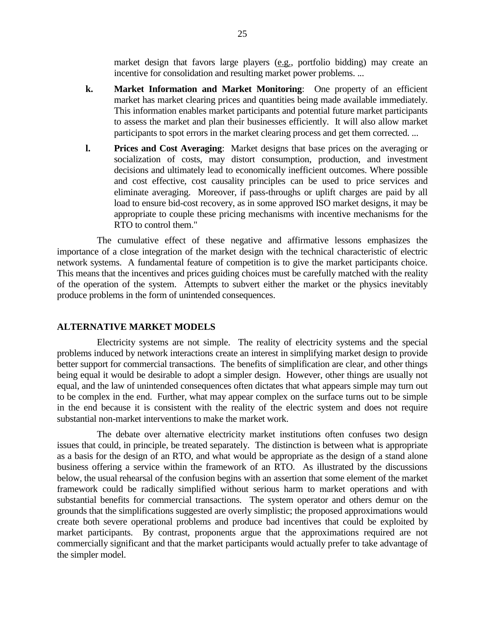market design that favors large players (e.g., portfolio bidding) may create an incentive for consolidation and resulting market power problems. ...

- **k. Market Information and Market Monitoring**: One property of an efficient market has market clearing prices and quantities being made available immediately. This information enables market participants and potential future market participants to assess the market and plan their businesses efficiently. It will also allow market participants to spot errors in the market clearing process and get them corrected. ...
- **l. Prices and Cost Averaging**: Market designs that base prices on the averaging or socialization of costs, may distort consumption, production, and investment decisions and ultimately lead to economically inefficient outcomes. Where possible and cost effective, cost causality principles can be used to price services and eliminate averaging. Moreover, if pass-throughs or uplift charges are paid by all load to ensure bid-cost recovery, as in some approved ISO market designs, it may be appropriate to couple these pricing mechanisms with incentive mechanisms for the RTO to control them."

The cumulative effect of these negative and affirmative lessons emphasizes the importance of a close integration of the market design with the technical characteristic of electric network systems. A fundamental feature of competition is to give the market participants choice. This means that the incentives and prices guiding choices must be carefully matched with the reality of the operation of the system. Attempts to subvert either the market or the physics inevitably produce problems in the form of unintended consequences.

### **ALTERNATIVE MARKET MODELS**

Electricity systems are not simple. The reality of electricity systems and the special problems induced by network interactions create an interest in simplifying market design to provide better support for commercial transactions. The benefits of simplification are clear, and other things being equal it would be desirable to adopt a simpler design. However, other things are usually not equal, and the law of unintended consequences often dictates that what appears simple may turn out to be complex in the end. Further, what may appear complex on the surface turns out to be simple in the end because it is consistent with the reality of the electric system and does not require substantial non-market interventions to make the market work.

The debate over alternative electricity market institutions often confuses two design issues that could, in principle, be treated separately. The distinction is between what is appropriate as a basis for the design of an RTO, and what would be appropriate as the design of a stand alone business offering a service within the framework of an RTO. As illustrated by the discussions below, the usual rehearsal of the confusion begins with an assertion that some element of the market framework could be radically simplified without serious harm to market operations and with substantial benefits for commercial transactions. The system operator and others demur on the grounds that the simplifications suggested are overly simplistic; the proposed approximations would create both severe operational problems and produce bad incentives that could be exploited by market participants. By contrast, proponents argue that the approximations required are not commercially significant and that the market participants would actually prefer to take advantage of the simpler model.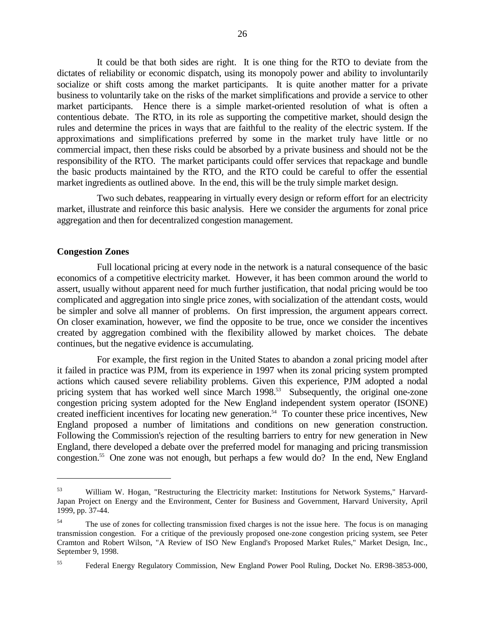It could be that both sides are right. It is one thing for the RTO to deviate from the dictates of reliability or economic dispatch, using its monopoly power and ability to involuntarily socialize or shift costs among the market participants. It is quite another matter for a private business to voluntarily take on the risks of the market simplifications and provide a service to other market participants. Hence there is a simple market-oriented resolution of what is often a contentious debate. The RTO, in its role as supporting the competitive market, should design the rules and determine the prices in ways that are faithful to the reality of the electric system. If the approximations and simplifications preferred by some in the market truly have little or no commercial impact, then these risks could be absorbed by a private business and should not be the responsibility of the RTO. The market participants could offer services that repackage and bundle the basic products maintained by the RTO, and the RTO could be careful to offer the essential market ingredients as outlined above. In the end, this will be the truly simple market design.

 Two such debates, reappearing in virtually every design or reform effort for an electricity market, illustrate and reinforce this basic analysis. Here we consider the arguments for zonal price aggregation and then for decentralized congestion management.

#### **Congestion Zones**

 $\overline{a}$ 

Full locational pricing at every node in the network is a natural consequence of the basic economics of a competitive electricity market. However, it has been common around the world to assert, usually without apparent need for much further justification, that nodal pricing would be too complicated and aggregation into single price zones, with socialization of the attendant costs, would be simpler and solve all manner of problems. On first impression, the argument appears correct. On closer examination, however, we find the opposite to be true, once we consider the incentives created by aggregation combined with the flexibility allowed by market choices. The debate continues, but the negative evidence is accumulating.

For example, the first region in the United States to abandon a zonal pricing model after it failed in practice was PJM, from its experience in 1997 when its zonal pricing system prompted actions which caused severe reliability problems. Given this experience, PJM adopted a nodal pricing system that has worked well since March 1998.<sup>53</sup> Subsequently, the original one-zone congestion pricing system adopted for the New England independent system operator (ISONE) created inefficient incentives for locating new generation.<sup>54</sup> To counter these price incentives, New England proposed a number of limitations and conditions on new generation construction. Following the Commission's rejection of the resulting barriers to entry for new generation in New England, there developed a debate over the preferred model for managing and pricing transmission congestion.55 One zone was not enough, but perhaps a few would do? In the end, New England

<sup>53</sup> William W. Hogan, "Restructuring the Electricity market: Institutions for Network Systems," Harvard-Japan Project on Energy and the Environment, Center for Business and Government, Harvard University, April 1999, pp. 37-44.

<sup>&</sup>lt;sup>54</sup> The use of zones for collecting transmission fixed charges is not the issue here. The focus is on managing transmission congestion. For a critique of the previously proposed one-zone congestion pricing system, see Peter Cramton and Robert Wilson, "A Review of ISO New England's Proposed Market Rules," Market Design, Inc., September 9, 1998.

<sup>55</sup> Federal Energy Regulatory Commission, New England Power Pool Ruling, Docket No. ER98-3853-000,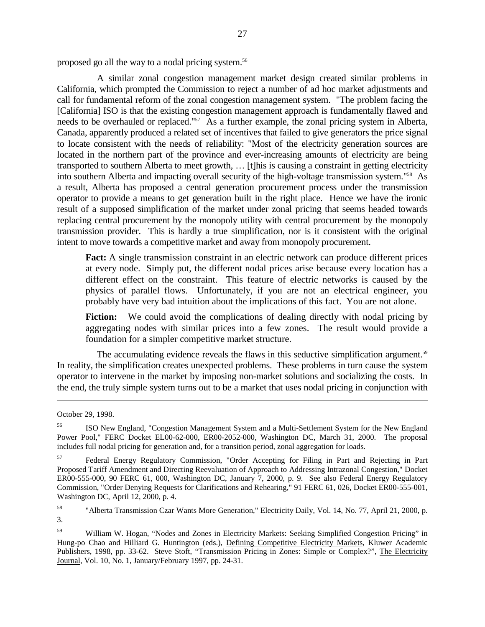proposed go all the way to a nodal pricing system.<sup>56</sup>

A similar zonal congestion management market design created similar problems in California, which prompted the Commission to reject a number of ad hoc market adjustments and call for fundamental reform of the zonal congestion management system. "The problem facing the [California] ISO is that the existing congestion management approach is fundamentally flawed and needs to be overhauled or replaced."57 As a further example, the zonal pricing system in Alberta, Canada, apparently produced a related set of incentives that failed to give generators the price signal to locate consistent with the needs of reliability: "Most of the electricity generation sources are located in the northern part of the province and ever-increasing amounts of electricity are being transported to southern Alberta to meet growth, … [t]his is causing a constraint in getting electricity into southern Alberta and impacting overall security of the high-voltage transmission system."58 As a result, Alberta has proposed a central generation procurement process under the transmission operator to provide a means to get generation built in the right place. Hence we have the ironic result of a supposed simplification of the market under zonal pricing that seems headed towards replacing central procurement by the monopoly utility with central procurement by the monopoly transmission provider. This is hardly a true simplification, nor is it consistent with the original intent to move towards a competitive market and away from monopoly procurement.

**Fact:** A single transmission constraint in an electric network can produce different prices at every node. Simply put, the different nodal prices arise because every location has a different effect on the constraint. This feature of electric networks is caused by the physics of parallel flows. Unfortunately, if you are not an electrical engineer, you probably have very bad intuition about the implications of this fact. You are not alone.

Fiction: We could avoid the complications of dealing directly with nodal pricing by aggregating nodes with similar prices into a few zones. The result would provide a foundation for a simpler competitive mark**e**t structure.

The accumulating evidence reveals the flaws in this seductive simplification argument.<sup>59</sup> In reality, the simplification creates unexpected problems. These problems in turn cause the system operator to intervene in the market by imposing non-market solutions and socializing the costs. In the end, the truly simple system turns out to be a market that uses nodal pricing in conjunction with

October 29, 1998.

<sup>56</sup> ISO New England, "Congestion Management System and a Multi-Settlement System for the New England Power Pool," FERC Docket EL00-62-000, ER00-2052-000, Washington DC, March 31, 2000. The proposal includes full nodal pricing for generation and, for a transition period, zonal aggregation for loads.

<sup>57</sup> Federal Energy Regulatory Commission, "Order Accepting for Filing in Part and Rejecting in Part Proposed Tariff Amendment and Directing Reevaluation of Approach to Addressing Intrazonal Congestion," Docket ER00-555-000, 90 FERC 61, 000, Washington DC, January 7, 2000, p. 9. See also Federal Energy Regulatory Commission, "Order Denying Requests for Clarifications and Rehearing," 91 FERC 61, 026, Docket ER00-555-001, Washington DC, April 12, 2000, p. 4.

<sup>58 &</sup>quot;Alberta Transmission Czar Wants More Generation," Electricity Daily, Vol. 14, No. 77, April 21, 2000, p. 3.

<sup>59</sup> William W. Hogan, "Nodes and Zones in Electricity Markets: Seeking Simplified Congestion Pricing" in Hung-po Chao and Hilliard G. Huntington (eds.), Defining Competitive Electricity Markets, Kluwer Academic Publishers, 1998, pp. 33-62. Steve Stoft, "Transmission Pricing in Zones: Simple or Complex?", The Electricity Journal, Vol. 10, No. 1, January/February 1997, pp. 24-31.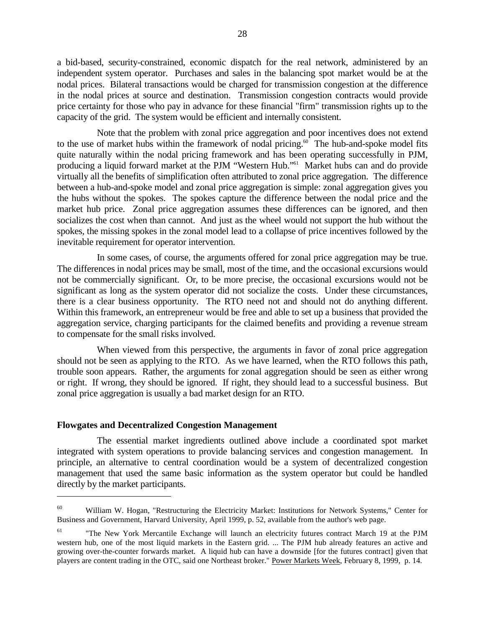a bid-based, security-constrained, economic dispatch for the real network, administered by an independent system operator. Purchases and sales in the balancing spot market would be at the nodal prices. Bilateral transactions would be charged for transmission congestion at the difference in the nodal prices at source and destination. Transmission congestion contracts would provide price certainty for those who pay in advance for these financial "firm" transmission rights up to the capacity of the grid. The system would be efficient and internally consistent.

Note that the problem with zonal price aggregation and poor incentives does not extend to the use of market hubs within the framework of nodal pricing. $60$  The hub-and-spoke model fits quite naturally within the nodal pricing framework and has been operating successfully in PJM, producing a liquid forward market at the PJM "Western Hub."61 Market hubs can and do provide virtually all the benefits of simplification often attributed to zonal price aggregation. The difference between a hub-and-spoke model and zonal price aggregation is simple: zonal aggregation gives you the hubs without the spokes. The spokes capture the difference between the nodal price and the market hub price. Zonal price aggregation assumes these differences can be ignored, and then socializes the cost when than cannot. And just as the wheel would not support the hub without the spokes, the missing spokes in the zonal model lead to a collapse of price incentives followed by the inevitable requirement for operator intervention.

In some cases, of course, the arguments offered for zonal price aggregation may be true. The differences in nodal prices may be small, most of the time, and the occasional excursions would not be commercially significant. Or, to be more precise, the occasional excursions would not be significant as long as the system operator did not socialize the costs. Under these circumstances, there is a clear business opportunity. The RTO need not and should not do anything different. Within this framework, an entrepreneur would be free and able to set up a business that provided the aggregation service, charging participants for the claimed benefits and providing a revenue stream to compensate for the small risks involved.

When viewed from this perspective, the arguments in favor of zonal price aggregation should not be seen as applying to the RTO. As we have learned, when the RTO follows this path, trouble soon appears. Rather, the arguments for zonal aggregation should be seen as either wrong or right. If wrong, they should be ignored. If right, they should lead to a successful business. But zonal price aggregation is usually a bad market design for an RTO.

#### **Flowgates and Decentralized Congestion Management**

 $\overline{a}$ 

The essential market ingredients outlined above include a coordinated spot market integrated with system operations to provide balancing services and congestion management. In principle, an alternative to central coordination would be a system of decentralized congestion management that used the same basic information as the system operator but could be handled directly by the market participants.

<sup>60</sup> William W. Hogan, "Restructuring the Electricity Market: Institutions for Network Systems," Center for Business and Government, Harvard University, April 1999, p. 52, available from the author's web page.

<sup>&</sup>lt;sup>61</sup> "The New York Mercantile Exchange will launch an electricity futures contract March 19 at the PJM western hub, one of the most liquid markets in the Eastern grid. ... The PJM hub already features an active and growing over-the-counter forwards market. A liquid hub can have a downside [for the futures contract] given that players are content trading in the OTC, said one Northeast broker." Power Markets Week, February 8, 1999, p. 14.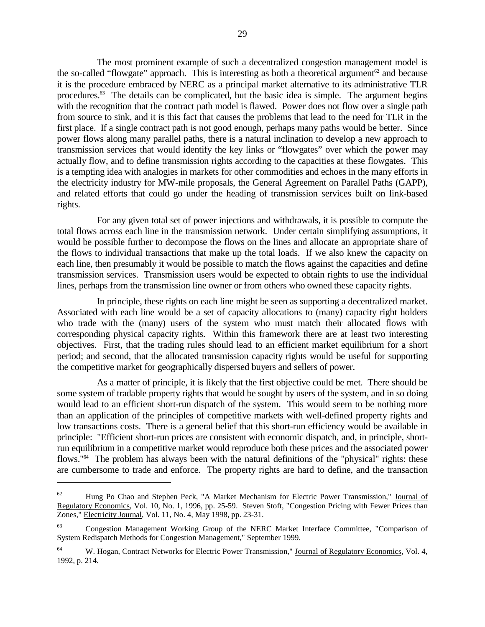The most prominent example of such a decentralized congestion management model is the so-called "flowgate" approach. This is interesting as both a theoretical argument<sup>62</sup> and because it is the procedure embraced by NERC as a principal market alternative to its administrative TLR procedures.63 The details can be complicated, but the basic idea is simple. The argument begins with the recognition that the contract path model is flawed. Power does not flow over a single path from source to sink, and it is this fact that causes the problems that lead to the need for TLR in the first place. If a single contract path is not good enough, perhaps many paths would be better. Since power flows along many parallel paths, there is a natural inclination to develop a new approach to transmission services that would identify the key links or "flowgates" over which the power may actually flow, and to define transmission rights according to the capacities at these flowgates. This is a tempting idea with analogies in markets for other commodities and echoes in the many efforts in the electricity industry for MW-mile proposals, the General Agreement on Parallel Paths (GAPP), and related efforts that could go under the heading of transmission services built on link-based rights.

For any given total set of power injections and withdrawals, it is possible to compute the total flows across each line in the transmission network. Under certain simplifying assumptions, it would be possible further to decompose the flows on the lines and allocate an appropriate share of the flows to individual transactions that make up the total loads. If we also knew the capacity on each line, then presumably it would be possible to match the flows against the capacities and define transmission services. Transmission users would be expected to obtain rights to use the individual lines, perhaps from the transmission line owner or from others who owned these capacity rights.

In principle, these rights on each line might be seen as supporting a decentralized market. Associated with each line would be a set of capacity allocations to (many) capacity right holders who trade with the (many) users of the system who must match their allocated flows with corresponding physical capacity rights. Within this framework there are at least two interesting objectives. First, that the trading rules should lead to an efficient market equilibrium for a short period; and second, that the allocated transmission capacity rights would be useful for supporting the competitive market for geographically dispersed buyers and sellers of power.

As a matter of principle, it is likely that the first objective could be met. There should be some system of tradable property rights that would be sought by users of the system, and in so doing would lead to an efficient short-run dispatch of the system. This would seem to be nothing more than an application of the principles of competitive markets with well-defined property rights and low transactions costs. There is a general belief that this short-run efficiency would be available in principle: "Efficient short-run prices are consistent with economic dispatch, and, in principle, shortrun equilibrium in a competitive market would reproduce both these prices and the associated power flows."<sup>64</sup> The problem has always been with the natural definitions of the "physical" rights: these are cumbersome to trade and enforce. The property rights are hard to define, and the transaction

<sup>&</sup>lt;sup>62</sup> Hung Po Chao and Stephen Peck, "A Market Mechanism for Electric Power Transmission," Journal of Regulatory Economics, Vol. 10, No. 1, 1996, pp. 25-59. Steven Stoft, "Congestion Pricing with Fewer Prices than Zones," Electricity Journal, Vol. 11, No. 4, May 1998, pp. 23-31.

<sup>63</sup> Congestion Management Working Group of the NERC Market Interface Committee, "Comparison of System Redispatch Methods for Congestion Management," September 1999.

<sup>&</sup>lt;sup>64</sup> W. Hogan, Contract Networks for Electric Power Transmission," Journal of Regulatory Economics, Vol. 4, 1992, p. 214.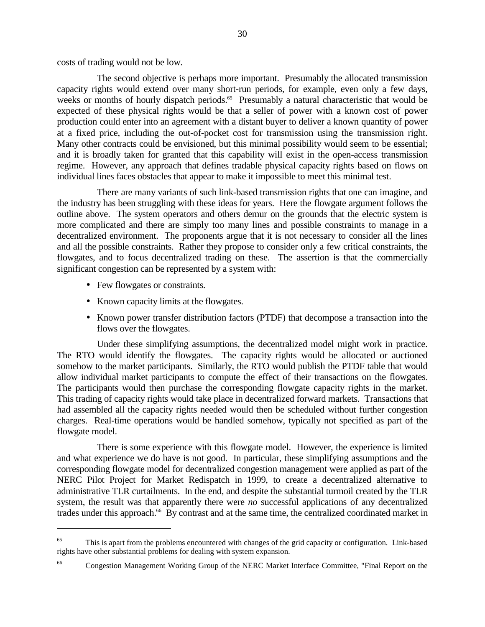costs of trading would not be low.

The second objective is perhaps more important. Presumably the allocated transmission capacity rights would extend over many short-run periods, for example, even only a few days, weeks or months of hourly dispatch periods.<sup>65</sup> Presumably a natural characteristic that would be expected of these physical rights would be that a seller of power with a known cost of power production could enter into an agreement with a distant buyer to deliver a known quantity of power at a fixed price, including the out-of-pocket cost for transmission using the transmission right. Many other contracts could be envisioned, but this minimal possibility would seem to be essential; and it is broadly taken for granted that this capability will exist in the open-access transmission regime. However, any approach that defines tradable physical capacity rights based on flows on individual lines faces obstacles that appear to make it impossible to meet this minimal test.

There are many variants of such link-based transmission rights that one can imagine, and the industry has been struggling with these ideas for years. Here the flowgate argument follows the outline above. The system operators and others demur on the grounds that the electric system is more complicated and there are simply too many lines and possible constraints to manage in a decentralized environment. The proponents argue that it is not necessary to consider all the lines and all the possible constraints. Rather they propose to consider only a few critical constraints, the flowgates, and to focus decentralized trading on these. The assertion is that the commercially significant congestion can be represented by a system with:

• Few flowgates or constraints.

 $\overline{a}$ 

- Known capacity limits at the flowgates.
- Known power transfer distribution factors (PTDF) that decompose a transaction into the flows over the flowgates.

Under these simplifying assumptions, the decentralized model might work in practice. The RTO would identify the flowgates. The capacity rights would be allocated or auctioned somehow to the market participants. Similarly, the RTO would publish the PTDF table that would allow individual market participants to compute the effect of their transactions on the flowgates. The participants would then purchase the corresponding flowgate capacity rights in the market. This trading of capacity rights would take place in decentralized forward markets. Transactions that had assembled all the capacity rights needed would then be scheduled without further congestion charges. Real-time operations would be handled somehow, typically not specified as part of the flowgate model.

There is some experience with this flowgate model. However, the experience is limited and what experience we do have is not good. In particular, these simplifying assumptions and the corresponding flowgate model for decentralized congestion management were applied as part of the NERC Pilot Project for Market Redispatch in 1999, to create a decentralized alternative to administrative TLR curtailments. In the end, and despite the substantial turmoil created by the TLR system, the result was that apparently there were *no* successful applications of any decentralized trades under this approach.<sup>66</sup> By contrast and at the same time, the centralized coordinated market in

<sup>&</sup>lt;sup>65</sup> This is apart from the problems encountered with changes of the grid capacity or configuration. Link-based rights have other substantial problems for dealing with system expansion.

<sup>&</sup>lt;sup>66</sup> Congestion Management Working Group of the NERC Market Interface Committee, "Final Report on the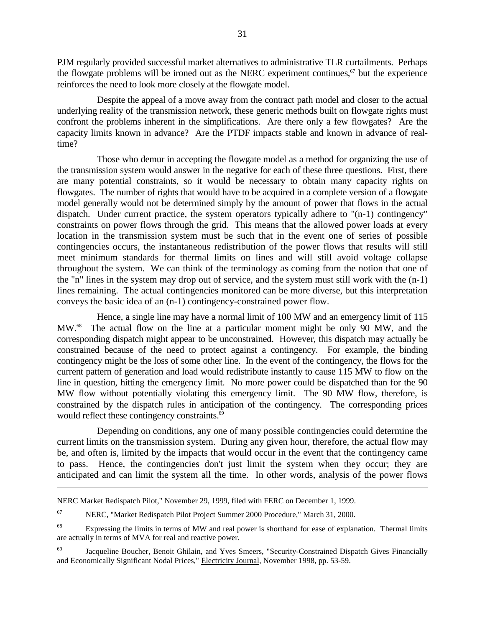PJM regularly provided successful market alternatives to administrative TLR curtailments. Perhaps the flowgate problems will be ironed out as the NERC experiment continues, $\epsilon$ <sup>7</sup> but the experience reinforces the need to look more closely at the flowgate model.

Despite the appeal of a move away from the contract path model and closer to the actual underlying reality of the transmission network, these generic methods built on flowgate rights must confront the problems inherent in the simplifications. Are there only a few flowgates? Are the capacity limits known in advance? Are the PTDF impacts stable and known in advance of realtime?

Those who demur in accepting the flowgate model as a method for organizing the use of the transmission system would answer in the negative for each of these three questions. First, there are many potential constraints, so it would be necessary to obtain many capacity rights on flowgates. The number of rights that would have to be acquired in a complete version of a flowgate model generally would not be determined simply by the amount of power that flows in the actual dispatch. Under current practice, the system operators typically adhere to "(n-1) contingency" constraints on power flows through the grid. This means that the allowed power loads at every location in the transmission system must be such that in the event one of series of possible contingencies occurs, the instantaneous redistribution of the power flows that results will still meet minimum standards for thermal limits on lines and will still avoid voltage collapse throughout the system. We can think of the terminology as coming from the notion that one of the "n" lines in the system may drop out of service, and the system must still work with the (n-1) lines remaining. The actual contingencies monitored can be more diverse, but this interpretation conveys the basic idea of an (n-1) contingency-constrained power flow.

Hence, a single line may have a normal limit of 100 MW and an emergency limit of 115 MW.68 The actual flow on the line at a particular moment might be only 90 MW, and the corresponding dispatch might appear to be unconstrained. However, this dispatch may actually be constrained because of the need to protect against a contingency. For example, the binding contingency might be the loss of some other line. In the event of the contingency, the flows for the current pattern of generation and load would redistribute instantly to cause 115 MW to flow on the line in question, hitting the emergency limit. No more power could be dispatched than for the 90 MW flow without potentially violating this emergency limit. The 90 MW flow, therefore, is constrained by the dispatch rules in anticipation of the contingency. The corresponding prices would reflect these contingency constraints.<sup>69</sup>

Depending on conditions, any one of many possible contingencies could determine the current limits on the transmission system. During any given hour, therefore, the actual flow may be, and often is, limited by the impacts that would occur in the event that the contingency came to pass. Hence, the contingencies don't just limit the system when they occur; they are anticipated and can limit the system all the time. In other words, analysis of the power flows

NERC Market Redispatch Pilot," November 29, 1999, filed with FERC on December 1, 1999.

<sup>67</sup> NERC, "Market Redispatch Pilot Project Summer 2000 Procedure," March 31, 2000.

<sup>&</sup>lt;sup>68</sup> Expressing the limits in terms of MW and real power is shorthand for ease of explanation. Thermal limits are actually in terms of MVA for real and reactive power.

<sup>&</sup>lt;sup>69</sup> Jacqueline Boucher, Benoit Ghilain, and Yves Smeers, "Security-Constrained Dispatch Gives Financially and Economically Significant Nodal Prices," Electricity Journal, November 1998, pp. 53-59.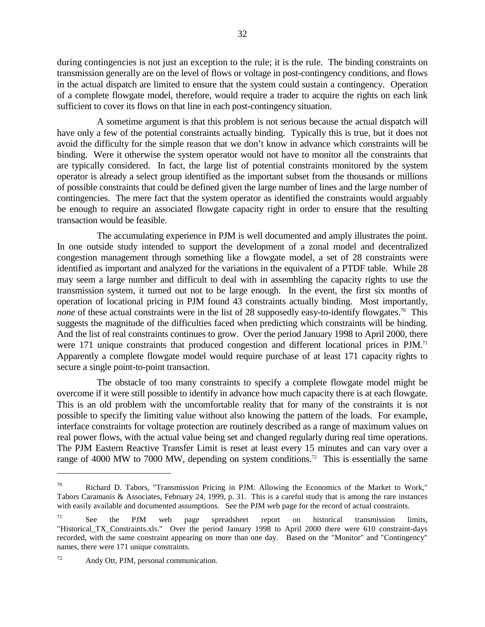during contingencies is not just an exception to the rule; it is the rule. The binding constraints on transmission generally are on the level of flows or voltage in post-contingency conditions, and flows in the actual dispatch are limited to ensure that the system could sustain a contingency. Operation of a complete flowgate model, therefore, would require a trader to acquire the rights on each link sufficient to cover its flows on that line in each post-contingency situation.

A sometime argument is that this problem is not serious because the actual dispatch will have only a few of the potential constraints actually binding. Typically this is true, but it does not avoid the difficulty for the simple reason that we don't know in advance which constraints will be binding. Were it otherwise the system operator would not have to monitor all the constraints that are typically considered. In fact, the large list of potential constraints monitored by the system operator is already a select group identified as the important subset from the thousands or millions of possible constraints that could be defined given the large number of lines and the large number of contingencies. The mere fact that the system operator as identified the constraints would arguably be enough to require an associated flowgate capacity right in order to ensure that the resulting transaction would be feasible.

The accumulating experience in PJM is well documented and amply illustrates the point. In one outside study intended to support the development of a zonal model and decentralized congestion management through something like a flowgate model, a set of 28 constraints were identified as important and analyzed for the variations in the equivalent of a PTDF table. While 28 may seem a large number and difficult to deal with in assembling the capacity rights to use the transmission system, it turned out not to be large enough. In the event, the first six months of operation of locational pricing in PJM found 43 constraints actually binding. Most importantly, *none* of these actual constraints were in the list of 28 supposedly easy-to-identify flowgates.<sup>70</sup> This suggests the magnitude of the difficulties faced when predicting which constraints will be binding. And the list of real constraints continues to grow. Over the period January 1998 to April 2000, there were 171 unique constraints that produced congestion and different locational prices in PJM.<sup>71</sup> Apparently a complete flowgate model would require purchase of at least 171 capacity rights to secure a single point-to-point transaction.

The obstacle of too many constraints to specify a complete flowgate model might be overcome if it were still possible to identify in advance how much capacity there is at each flowgate. This is an old problem with the uncomfortable reality that for many of the constraints it is not possible to specify the limiting value without also knowing the pattern of the loads. For example, interface constraints for voltage protection are routinely described as a range of maximum values on real power flows, with the actual value being set and changed regularly during real time operations. The PJM Eastern Reactive Transfer Limit is reset at least every 15 minutes and can vary over a range of 4000 MW to 7000 MW, depending on system conditions.<sup>72</sup> This is essentially the same

<sup>&</sup>lt;sup>70</sup> Richard D. Tabors, "Transmission Pricing in PJM: Allowing the Economics of the Market to Work," Tabors Caramanis & Associates, February 24, 1999, p. 31. This is a careful study that is among the rare instances with easily available and documented assumptions. See the PJM web page for the record of actual constraints.

 $71$  See the PJM web page spreadsheet report on historical transmission limits, "Historical\_TX\_Constraints.xls." Over the period January 1998 to April 2000 there were 610 constraint-days recorded, with the same constraint appearing on more than one day. Based on the "Monitor" and "Contingency" names, there were 171 unique constraints.

<sup>72</sup> Andy Ott, PJM, personal communication.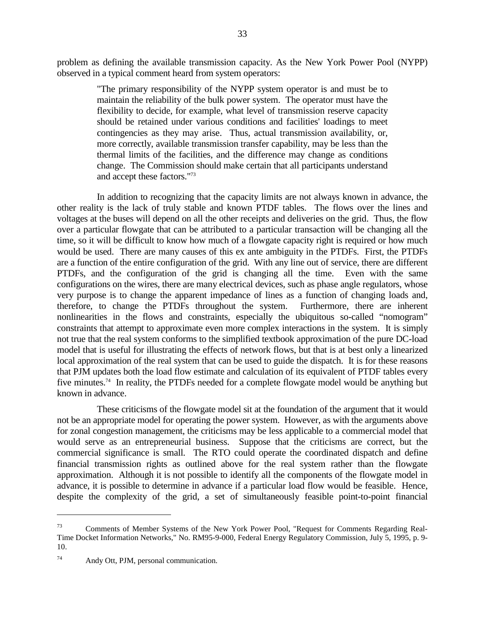problem as defining the available transmission capacity. As the New York Power Pool (NYPP) observed in a typical comment heard from system operators:

> "The primary responsibility of the NYPP system operator is and must be to maintain the reliability of the bulk power system. The operator must have the flexibility to decide, for example, what level of transmission reserve capacity should be retained under various conditions and facilities' loadings to meet contingencies as they may arise. Thus, actual transmission availability, or, more correctly, available transmission transfer capability, may be less than the thermal limits of the facilities, and the difference may change as conditions change. The Commission should make certain that all participants understand and accept these factors."73

In addition to recognizing that the capacity limits are not always known in advance, the other reality is the lack of truly stable and known PTDF tables. The flows over the lines and voltages at the buses will depend on all the other receipts and deliveries on the grid. Thus, the flow over a particular flowgate that can be attributed to a particular transaction will be changing all the time, so it will be difficult to know how much of a flowgate capacity right is required or how much would be used. There are many causes of this ex ante ambiguity in the PTDFs. First, the PTDFs are a function of the entire configuration of the grid. With any line out of service, there are different PTDFs, and the configuration of the grid is changing all the time. Even with the same configurations on the wires, there are many electrical devices, such as phase angle regulators, whose very purpose is to change the apparent impedance of lines as a function of changing loads and, therefore, to change the PTDFs throughout the system. Furthermore, there are inherent nonlinearities in the flows and constraints, especially the ubiquitous so-called "nomogram" constraints that attempt to approximate even more complex interactions in the system. It is simply not true that the real system conforms to the simplified textbook approximation of the pure DC-load model that is useful for illustrating the effects of network flows, but that is at best only a linearized local approximation of the real system that can be used to guide the dispatch. It is for these reasons that PJM updates both the load flow estimate and calculation of its equivalent of PTDF tables every five minutes.<sup>74</sup> In reality, the PTDFs needed for a complete flowgate model would be anything but known in advance.

These criticisms of the flowgate model sit at the foundation of the argument that it would not be an appropriate model for operating the power system. However, as with the arguments above for zonal congestion management, the criticisms may be less applicable to a commercial model that would serve as an entrepreneurial business. Suppose that the criticisms are correct, but the commercial significance is small. The RTO could operate the coordinated dispatch and define financial transmission rights as outlined above for the real system rather than the flowgate approximation. Although it is not possible to identify all the components of the flowgate model in advance, it is possible to determine in advance if a particular load flow would be feasible. Hence, despite the complexity of the grid, a set of simultaneously feasible point-to-point financial

<sup>&</sup>lt;sup>73</sup> Comments of Member Systems of the New York Power Pool, "Request for Comments Regarding Real-Time Docket Information Networks," No. RM95-9-000, Federal Energy Regulatory Commission, July 5, 1995, p. 9- 10.

<sup>74</sup> Andy Ott, PJM, personal communication.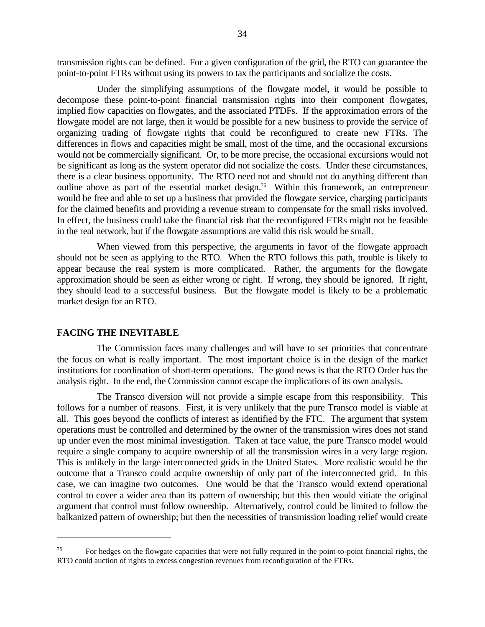transmission rights can be defined. For a given configuration of the grid, the RTO can guarantee the point-to-point FTRs without using its powers to tax the participants and socialize the costs.

Under the simplifying assumptions of the flowgate model, it would be possible to decompose these point-to-point financial transmission rights into their component flowgates, implied flow capacities on flowgates, and the associated PTDFs. If the approximation errors of the flowgate model are not large, then it would be possible for a new business to provide the service of organizing trading of flowgate rights that could be reconfigured to create new FTRs. The differences in flows and capacities might be small, most of the time, and the occasional excursions would not be commercially significant. Or, to be more precise, the occasional excursions would not be significant as long as the system operator did not socialize the costs. Under these circumstances, there is a clear business opportunity. The RTO need not and should not do anything different than outline above as part of the essential market design.<sup>75</sup> Within this framework, an entrepreneur would be free and able to set up a business that provided the flowgate service, charging participants for the claimed benefits and providing a revenue stream to compensate for the small risks involved. In effect, the business could take the financial risk that the reconfigured FTRs might not be feasible in the real network, but if the flowgate assumptions are valid this risk would be small.

When viewed from this perspective, the arguments in favor of the flowgate approach should not be seen as applying to the RTO. When the RTO follows this path, trouble is likely to appear because the real system is more complicated. Rather, the arguments for the flowgate approximation should be seen as either wrong or right. If wrong, they should be ignored. If right, they should lead to a successful business. But the flowgate model is likely to be a problematic market design for an RTO.

#### **FACING THE INEVITABLE**

 $\overline{a}$ 

The Commission faces many challenges and will have to set priorities that concentrate the focus on what is really important. The most important choice is in the design of the market institutions for coordination of short-term operations. The good news is that the RTO Order has the analysis right. In the end, the Commission cannot escape the implications of its own analysis.

The Transco diversion will not provide a simple escape from this responsibility. This follows for a number of reasons. First, it is very unlikely that the pure Transco model is viable at all. This goes beyond the conflicts of interest as identified by the FTC. The argument that system operations must be controlled and determined by the owner of the transmission wires does not stand up under even the most minimal investigation. Taken at face value, the pure Transco model would require a single company to acquire ownership of all the transmission wires in a very large region. This is unlikely in the large interconnected grids in the United States. More realistic would be the outcome that a Transco could acquire ownership of only part of the interconnected grid. In this case, we can imagine two outcomes. One would be that the Transco would extend operational control to cover a wider area than its pattern of ownership; but this then would vitiate the original argument that control must follow ownership. Alternatively, control could be limited to follow the balkanized pattern of ownership; but then the necessities of transmission loading relief would create

 $^{75}$  For hedges on the flowgate capacities that were not fully required in the point-to-point financial rights, the RTO could auction of rights to excess congestion revenues from reconfiguration of the FTRs.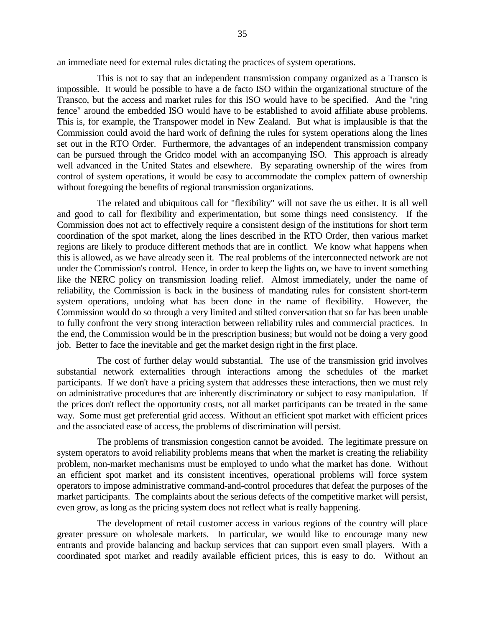an immediate need for external rules dictating the practices of system operations.

This is not to say that an independent transmission company organized as a Transco is impossible. It would be possible to have a de facto ISO within the organizational structure of the Transco, but the access and market rules for this ISO would have to be specified. And the "ring fence" around the embedded ISO would have to be established to avoid affiliate abuse problems. This is, for example, the Transpower model in New Zealand. But what is implausible is that the Commission could avoid the hard work of defining the rules for system operations along the lines set out in the RTO Order. Furthermore, the advantages of an independent transmission company can be pursued through the Gridco model with an accompanying ISO. This approach is already well advanced in the United States and elsewhere. By separating ownership of the wires from control of system operations, it would be easy to accommodate the complex pattern of ownership without foregoing the benefits of regional transmission organizations.

The related and ubiquitous call for "flexibility" will not save the us either. It is all well and good to call for flexibility and experimentation, but some things need consistency. If the Commission does not act to effectively require a consistent design of the institutions for short term coordination of the spot market, along the lines described in the RTO Order, then various market regions are likely to produce different methods that are in conflict. We know what happens when this is allowed, as we have already seen it. The real problems of the interconnected network are not under the Commission's control. Hence, in order to keep the lights on, we have to invent something like the NERC policy on transmission loading relief. Almost immediately, under the name of reliability, the Commission is back in the business of mandating rules for consistent short-term system operations, undoing what has been done in the name of flexibility. However, the Commission would do so through a very limited and stilted conversation that so far has been unable to fully confront the very strong interaction between reliability rules and commercial practices. In the end, the Commission would be in the prescription business; but would not be doing a very good job. Better to face the inevitable and get the market design right in the first place.

The cost of further delay would substantial. The use of the transmission grid involves substantial network externalities through interactions among the schedules of the market participants. If we don't have a pricing system that addresses these interactions, then we must rely on administrative procedures that are inherently discriminatory or subject to easy manipulation. If the prices don't reflect the opportunity costs, not all market participants can be treated in the same way. Some must get preferential grid access. Without an efficient spot market with efficient prices and the associated ease of access, the problems of discrimination will persist.

The problems of transmission congestion cannot be avoided. The legitimate pressure on system operators to avoid reliability problems means that when the market is creating the reliability problem, non-market mechanisms must be employed to undo what the market has done. Without an efficient spot market and its consistent incentives, operational problems will force system operators to impose administrative command-and-control procedures that defeat the purposes of the market participants. The complaints about the serious defects of the competitive market will persist, even grow, as long as the pricing system does not reflect what is really happening.

The development of retail customer access in various regions of the country will place greater pressure on wholesale markets. In particular, we would like to encourage many new entrants and provide balancing and backup services that can support even small players. With a coordinated spot market and readily available efficient prices, this is easy to do. Without an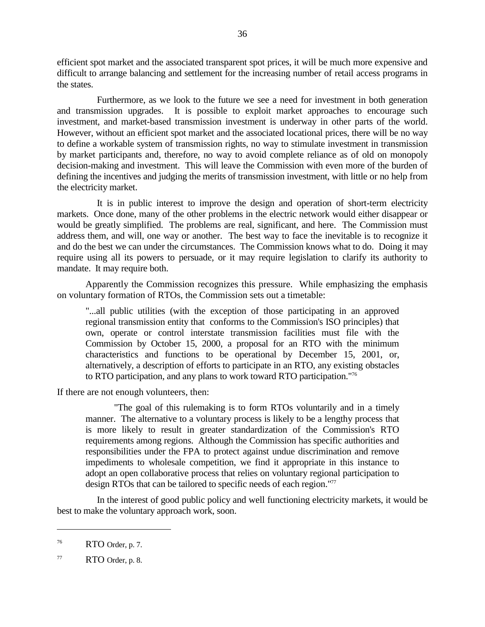efficient spot market and the associated transparent spot prices, it will be much more expensive and difficult to arrange balancing and settlement for the increasing number of retail access programs in the states.

Furthermore, as we look to the future we see a need for investment in both generation and transmission upgrades. It is possible to exploit market approaches to encourage such investment, and market-based transmission investment is underway in other parts of the world. However, without an efficient spot market and the associated locational prices, there will be no way to define a workable system of transmission rights, no way to stimulate investment in transmission by market participants and, therefore, no way to avoid complete reliance as of old on monopoly decision-making and investment. This will leave the Commission with even more of the burden of defining the incentives and judging the merits of transmission investment, with little or no help from the electricity market.

It is in public interest to improve the design and operation of short-term electricity markets. Once done, many of the other problems in the electric network would either disappear or would be greatly simplified. The problems are real, significant, and here. The Commission must address them, and will, one way or another. The best way to face the inevitable is to recognize it and do the best we can under the circumstances. The Commission knows what to do. Doing it may require using all its powers to persuade, or it may require legislation to clarify its authority to mandate. It may require both.

Apparently the Commission recognizes this pressure. While emphasizing the emphasis on voluntary formation of RTOs, the Commission sets out a timetable:

"...all public utilities (with the exception of those participating in an approved regional transmission entity that conforms to the Commission's ISO principles) that own, operate or control interstate transmission facilities must file with the Commission by October 15, 2000, a proposal for an RTO with the minimum characteristics and functions to be operational by December 15, 2001, or, alternatively, a description of efforts to participate in an RTO, any existing obstacles to RTO participation, and any plans to work toward RTO participation."76

If there are not enough volunteers, then:

"The goal of this rulemaking is to form RTOs voluntarily and in a timely manner. The alternative to a voluntary process is likely to be a lengthy process that is more likely to result in greater standardization of the Commission's RTO requirements among regions. Although the Commission has specific authorities and responsibilities under the FPA to protect against undue discrimination and remove impediments to wholesale competition, we find it appropriate in this instance to adopt an open collaborative process that relies on voluntary regional participation to design RTOs that can be tailored to specific needs of each region."<sup>77</sup>

In the interest of good public policy and well functioning electricity markets, it would be best to make the voluntary approach work, soon.

<sup>76</sup> RTO Order, p. 7.

<sup>77</sup> RTO Order, p. 8.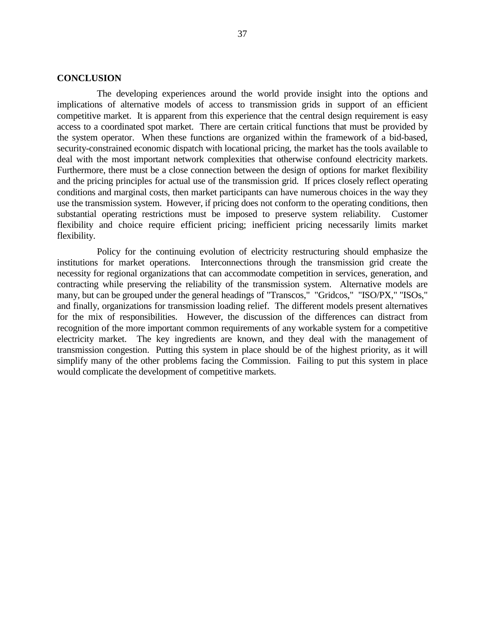#### **CONCLUSION**

The developing experiences around the world provide insight into the options and implications of alternative models of access to transmission grids in support of an efficient competitive market. It is apparent from this experience that the central design requirement is easy access to a coordinated spot market. There are certain critical functions that must be provided by the system operator. When these functions are organized within the framework of a bid-based, security-constrained economic dispatch with locational pricing, the market has the tools available to deal with the most important network complexities that otherwise confound electricity markets. Furthermore, there must be a close connection between the design of options for market flexibility and the pricing principles for actual use of the transmission grid. If prices closely reflect operating conditions and marginal costs, then market participants can have numerous choices in the way they use the transmission system. However, if pricing does not conform to the operating conditions, then substantial operating restrictions must be imposed to preserve system reliability. Customer flexibility and choice require efficient pricing; inefficient pricing necessarily limits market flexibility.

Policy for the continuing evolution of electricity restructuring should emphasize the institutions for market operations. Interconnections through the transmission grid create the necessity for regional organizations that can accommodate competition in services, generation, and contracting while preserving the reliability of the transmission system. Alternative models are many, but can be grouped under the general headings of "Transcos," "Gridcos," "ISO/PX," "ISOs," and finally, organizations for transmission loading relief. The different models present alternatives for the mix of responsibilities. However, the discussion of the differences can distract from recognition of the more important common requirements of any workable system for a competitive electricity market. The key ingredients are known, and they deal with the management of transmission congestion. Putting this system in place should be of the highest priority, as it will simplify many of the other problems facing the Commission. Failing to put this system in place would complicate the development of competitive markets.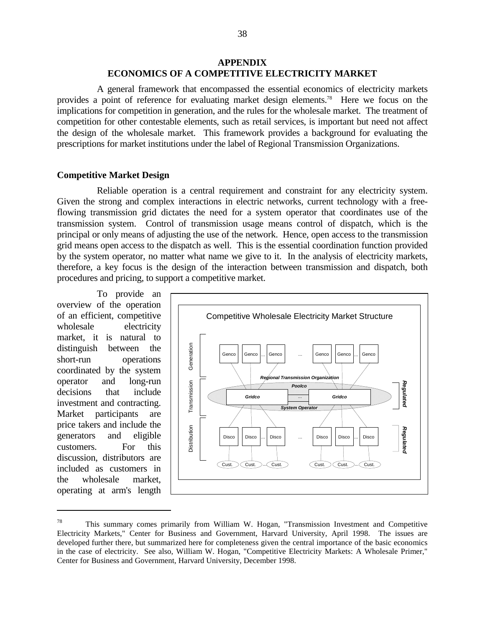## **APPENDIX ECONOMICS OF A COMPETITIVE ELECTRICITY MARKET**

A general framework that encompassed the essential economics of electricity markets provides a point of reference for evaluating market design elements.78 Here we focus on the implications for competition in generation, and the rules for the wholesale market. The treatment of competition for other contestable elements, such as retail services, is important but need not affect the design of the wholesale market. This framework provides a background for evaluating the prescriptions for market institutions under the label of Regional Transmission Organizations.

#### **Competitive Market Design**

Reliable operation is a central requirement and constraint for any electricity system. Given the strong and complex interactions in electric networks, current technology with a freeflowing transmission grid dictates the need for a system operator that coordinates use of the transmission system. Control of transmission usage means control of dispatch, which is the principal or only means of adjusting the use of the network. Hence, open access to the transmission grid means open access to the dispatch as well. This is the essential coordination function provided by the system operator, no matter what name we give to it. In the analysis of electricity markets, therefore, a key focus is the design of the interaction between transmission and dispatch, both procedures and pricing, to support a competitive market.

To provide an overview of the operation of an efficient, competitive wholesale electricity market, it is natural to distinguish between the short-run operations coordinated by the system operator and long-run decisions that include investment and contracting. Market participants are price takers and include the generators and eligible customers. For this discussion, distributors are included as customers in the wholesale market, operating at arm's length



 $78$  This summary comes primarily from William W. Hogan, "Transmission Investment and Competitive Electricity Markets," Center for Business and Government, Harvard University, April 1998. The issues are developed further there, but summarized here for completeness given the central importance of the basic economics in the case of electricity. See also, William W. Hogan, "Competitive Electricity Markets: A Wholesale Primer," Center for Business and Government, Harvard University, December 1998.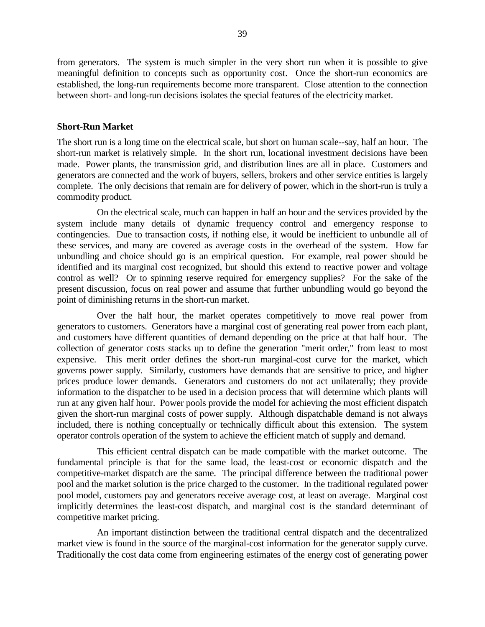from generators. The system is much simpler in the very short run when it is possible to give meaningful definition to concepts such as opportunity cost. Once the short-run economics are established, the long-run requirements become more transparent. Close attention to the connection between short- and long-run decisions isolates the special features of the electricity market.

### **Short-Run Market**

The short run is a long time on the electrical scale, but short on human scale--say, half an hour. The short-run market is relatively simple. In the short run, locational investment decisions have been made. Power plants, the transmission grid, and distribution lines are all in place. Customers and generators are connected and the work of buyers, sellers, brokers and other service entities is largely complete. The only decisions that remain are for delivery of power, which in the short-run is truly a commodity product.

On the electrical scale, much can happen in half an hour and the services provided by the system include many details of dynamic frequency control and emergency response to contingencies. Due to transaction costs, if nothing else, it would be inefficient to unbundle all of these services, and many are covered as average costs in the overhead of the system. How far unbundling and choice should go is an empirical question. For example, real power should be identified and its marginal cost recognized, but should this extend to reactive power and voltage control as well? Or to spinning reserve required for emergency supplies? For the sake of the present discussion, focus on real power and assume that further unbundling would go beyond the point of diminishing returns in the short-run market.

Over the half hour, the market operates competitively to move real power from generators to customers. Generators have a marginal cost of generating real power from each plant, and customers have different quantities of demand depending on the price at that half hour. The collection of generator costs stacks up to define the generation "merit order," from least to most expensive. This merit order defines the short-run marginal-cost curve for the market, which governs power supply. Similarly, customers have demands that are sensitive to price, and higher prices produce lower demands. Generators and customers do not act unilaterally; they provide information to the dispatcher to be used in a decision process that will determine which plants will run at any given half hour. Power pools provide the model for achieving the most efficient dispatch given the short-run marginal costs of power supply. Although dispatchable demand is not always included, there is nothing conceptually or technically difficult about this extension. The system operator controls operation of the system to achieve the efficient match of supply and demand.

This efficient central dispatch can be made compatible with the market outcome. The fundamental principle is that for the same load, the least-cost or economic dispatch and the competitive-market dispatch are the same. The principal difference between the traditional power pool and the market solution is the price charged to the customer. In the traditional regulated power pool model, customers pay and generators receive average cost, at least on average. Marginal cost implicitly determines the least-cost dispatch, and marginal cost is the standard determinant of competitive market pricing.

An important distinction between the traditional central dispatch and the decentralized market view is found in the source of the marginal-cost information for the generator supply curve. Traditionally the cost data come from engineering estimates of the energy cost of generating power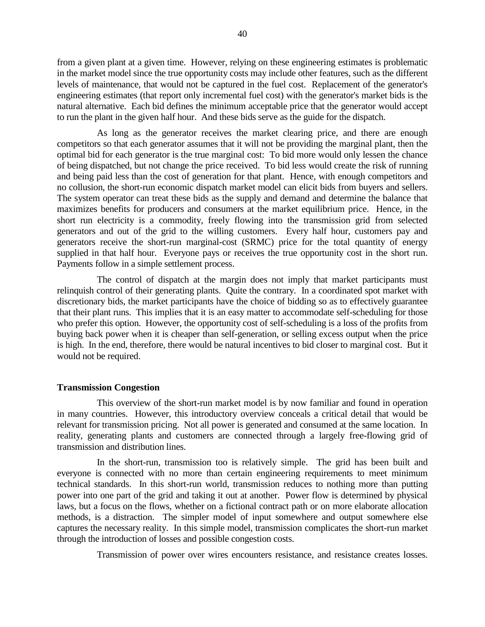from a given plant at a given time. However, relying on these engineering estimates is problematic in the market model since the true opportunity costs may include other features, such as the different levels of maintenance, that would not be captured in the fuel cost. Replacement of the generator's engineering estimates (that report only incremental fuel cost) with the generator's market bids is the natural alternative. Each bid defines the minimum acceptable price that the generator would accept to run the plant in the given half hour. And these bids serve as the guide for the dispatch.

As long as the generator receives the market clearing price, and there are enough competitors so that each generator assumes that it will not be providing the marginal plant, then the optimal bid for each generator is the true marginal cost: To bid more would only lessen the chance of being dispatched, but not change the price received. To bid less would create the risk of running and being paid less than the cost of generation for that plant. Hence, with enough competitors and no collusion, the short-run economic dispatch market model can elicit bids from buyers and sellers. The system operator can treat these bids as the supply and demand and determine the balance that maximizes benefits for producers and consumers at the market equilibrium price. Hence, in the short run electricity is a commodity, freely flowing into the transmission grid from selected generators and out of the grid to the willing customers. Every half hour, customers pay and generators receive the short-run marginal-cost (SRMC) price for the total quantity of energy supplied in that half hour. Everyone pays or receives the true opportunity cost in the short run. Payments follow in a simple settlement process.

The control of dispatch at the margin does not imply that market participants must relinquish control of their generating plants. Quite the contrary. In a coordinated spot market with discretionary bids, the market participants have the choice of bidding so as to effectively guarantee that their plant runs. This implies that it is an easy matter to accommodate self-scheduling for those who prefer this option. However, the opportunity cost of self-scheduling is a loss of the profits from buying back power when it is cheaper than self-generation, or selling excess output when the price is high. In the end, therefore, there would be natural incentives to bid closer to marginal cost. But it would not be required.

### **Transmission Congestion**

This overview of the short-run market model is by now familiar and found in operation in many countries. However, this introductory overview conceals a critical detail that would be relevant for transmission pricing. Not all power is generated and consumed at the same location. In reality, generating plants and customers are connected through a largely free-flowing grid of transmission and distribution lines.

In the short-run, transmission too is relatively simple. The grid has been built and everyone is connected with no more than certain engineering requirements to meet minimum technical standards. In this short-run world, transmission reduces to nothing more than putting power into one part of the grid and taking it out at another. Power flow is determined by physical laws, but a focus on the flows, whether on a fictional contract path or on more elaborate allocation methods, is a distraction. The simpler model of input somewhere and output somewhere else captures the necessary reality. In this simple model, transmission complicates the short-run market through the introduction of losses and possible congestion costs.

Transmission of power over wires encounters resistance, and resistance creates losses.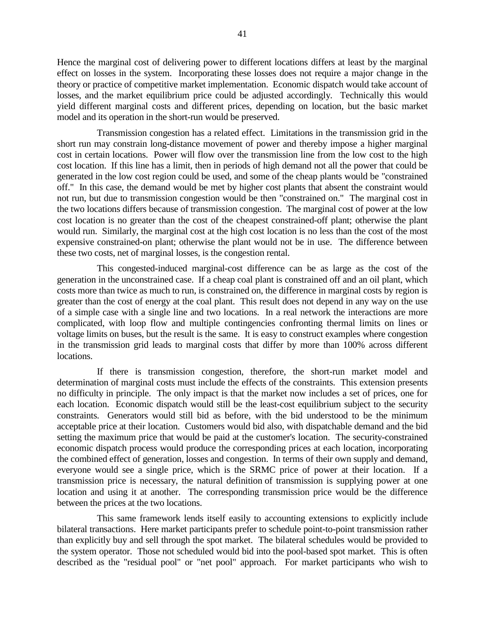Hence the marginal cost of delivering power to different locations differs at least by the marginal effect on losses in the system. Incorporating these losses does not require a major change in the theory or practice of competitive market implementation. Economic dispatch would take account of losses, and the market equilibrium price could be adjusted accordingly. Technically this would yield different marginal costs and different prices, depending on location, but the basic market model and its operation in the short-run would be preserved.

Transmission congestion has a related effect. Limitations in the transmission grid in the short run may constrain long-distance movement of power and thereby impose a higher marginal cost in certain locations. Power will flow over the transmission line from the low cost to the high cost location. If this line has a limit, then in periods of high demand not all the power that could be generated in the low cost region could be used, and some of the cheap plants would be "constrained off." In this case, the demand would be met by higher cost plants that absent the constraint would not run, but due to transmission congestion would be then "constrained on." The marginal cost in the two locations differs because of transmission congestion. The marginal cost of power at the low cost location is no greater than the cost of the cheapest constrained-off plant; otherwise the plant would run. Similarly, the marginal cost at the high cost location is no less than the cost of the most expensive constrained-on plant; otherwise the plant would not be in use. The difference between these two costs, net of marginal losses, is the congestion rental.

This congested-induced marginal-cost difference can be as large as the cost of the generation in the unconstrained case. If a cheap coal plant is constrained off and an oil plant, which costs more than twice as much to run, is constrained on, the difference in marginal costs by region is greater than the cost of energy at the coal plant. This result does not depend in any way on the use of a simple case with a single line and two locations. In a real network the interactions are more complicated, with loop flow and multiple contingencies confronting thermal limits on lines or voltage limits on buses, but the result is the same. It is easy to construct examples where congestion in the transmission grid leads to marginal costs that differ by more than 100% across different locations.

If there is transmission congestion, therefore, the short-run market model and determination of marginal costs must include the effects of the constraints. This extension presents no difficulty in principle. The only impact is that the market now includes a set of prices, one for each location. Economic dispatch would still be the least-cost equilibrium subject to the security constraints. Generators would still bid as before, with the bid understood to be the minimum acceptable price at their location. Customers would bid also, with dispatchable demand and the bid setting the maximum price that would be paid at the customer's location. The security-constrained economic dispatch process would produce the corresponding prices at each location, incorporating the combined effect of generation, losses and congestion. In terms of their own supply and demand, everyone would see a single price, which is the SRMC price of power at their location. If a transmission price is necessary, the natural definition of transmission is supplying power at one location and using it at another. The corresponding transmission price would be the difference between the prices at the two locations.

This same framework lends itself easily to accounting extensions to explicitly include bilateral transactions. Here market participants prefer to schedule point-to-point transmission rather than explicitly buy and sell through the spot market. The bilateral schedules would be provided to the system operator. Those not scheduled would bid into the pool-based spot market. This is often described as the "residual pool" or "net pool" approach. For market participants who wish to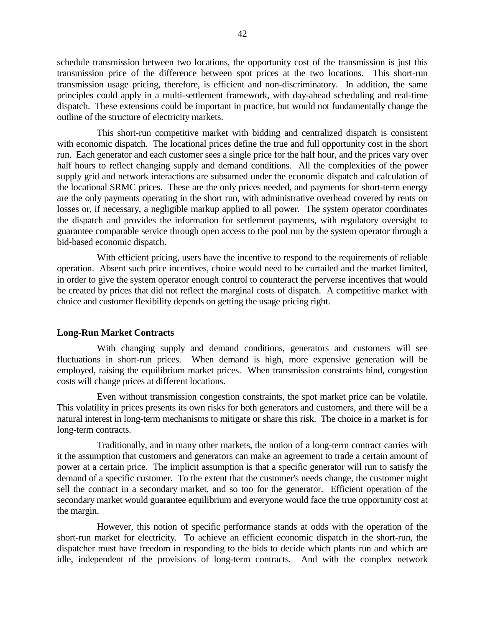schedule transmission between two locations, the opportunity cost of the transmission is just this transmission price of the difference between spot prices at the two locations. This short-run transmission usage pricing, therefore, is efficient and non-discriminatory. In addition, the same principles could apply in a multi-settlement framework, with day-ahead scheduling and real-time dispatch. These extensions could be important in practice, but would not fundamentally change the outline of the structure of electricity markets.

This short-run competitive market with bidding and centralized dispatch is consistent with economic dispatch. The locational prices define the true and full opportunity cost in the short run. Each generator and each customer sees a single price for the half hour, and the prices vary over half hours to reflect changing supply and demand conditions. All the complexities of the power supply grid and network interactions are subsumed under the economic dispatch and calculation of the locational SRMC prices. These are the only prices needed, and payments for short-term energy are the only payments operating in the short run, with administrative overhead covered by rents on losses or, if necessary, a negligible markup applied to all power. The system operator coordinates the dispatch and provides the information for settlement payments, with regulatory oversight to guarantee comparable service through open access to the pool run by the system operator through a bid-based economic dispatch.

With efficient pricing, users have the incentive to respond to the requirements of reliable operation. Absent such price incentives, choice would need to be curtailed and the market limited, in order to give the system operator enough control to counteract the perverse incentives that would be created by prices that did not reflect the marginal costs of dispatch. A competitive market with choice and customer flexibility depends on getting the usage pricing right.

#### **Long-Run Market Contracts**

With changing supply and demand conditions, generators and customers will see fluctuations in short-run prices. When demand is high, more expensive generation will be employed, raising the equilibrium market prices. When transmission constraints bind, congestion costs will change prices at different locations.

Even without transmission congestion constraints, the spot market price can be volatile. This volatility in prices presents its own risks for both generators and customers, and there will be a natural interest in long-term mechanisms to mitigate or share this risk. The choice in a market is for long-term contracts.

Traditionally, and in many other markets, the notion of a long-term contract carries with it the assumption that customers and generators can make an agreement to trade a certain amount of power at a certain price. The implicit assumption is that a specific generator will run to satisfy the demand of a specific customer. To the extent that the customer's needs change, the customer might sell the contract in a secondary market, and so too for the generator. Efficient operation of the secondary market would guarantee equilibrium and everyone would face the true opportunity cost at the margin.

However, this notion of specific performance stands at odds with the operation of the short-run market for electricity. To achieve an efficient economic dispatch in the short-run, the dispatcher must have freedom in responding to the bids to decide which plants run and which are idle, independent of the provisions of long-term contracts. And with the complex network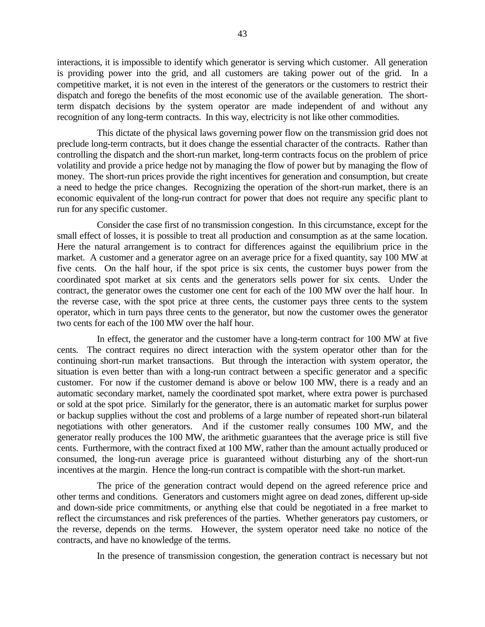interactions, it is impossible to identify which generator is serving which customer. All generation is providing power into the grid, and all customers are taking power out of the grid. In a competitive market, it is not even in the interest of the generators or the customers to restrict their dispatch and forego the benefits of the most economic use of the available generation. The shortterm dispatch decisions by the system operator are made independent of and without any recognition of any long-term contracts. In this way, electricity is not like other commodities.

This dictate of the physical laws governing power flow on the transmission grid does not preclude long-term contracts, but it does change the essential character of the contracts. Rather than controlling the dispatch and the short-run market, long-term contracts focus on the problem of price volatility and provide a price hedge not by managing the flow of power but by managing the flow of money. The short-run prices provide the right incentives for generation and consumption, but create a need to hedge the price changes. Recognizing the operation of the short-run market, there is an economic equivalent of the long-run contract for power that does not require any specific plant to run for any specific customer.

Consider the case first of no transmission congestion. In this circumstance, except for the small effect of losses, it is possible to treat all production and consumption as at the same location. Here the natural arrangement is to contract for differences against the equilibrium price in the market. A customer and a generator agree on an average price for a fixed quantity, say 100 MW at five cents. On the half hour, if the spot price is six cents, the customer buys power from the coordinated spot market at six cents and the generators sells power for six cents. Under the contract, the generator owes the customer one cent for each of the 100 MW over the half hour. In the reverse case, with the spot price at three cents, the customer pays three cents to the system operator, which in turn pays three cents to the generator, but now the customer owes the generator two cents for each of the 100 MW over the half hour.

In effect, the generator and the customer have a long-term contract for 100 MW at five cents. The contract requires no direct interaction with the system operator other than for the continuing short-run market transactions. But through the interaction with system operator, the situation is even better than with a long-run contract between a specific generator and a specific customer. For now if the customer demand is above or below 100 MW, there is a ready and an automatic secondary market, namely the coordinated spot market, where extra power is purchased or sold at the spot price. Similarly for the generator, there is an automatic market for surplus power or backup supplies without the cost and problems of a large number of repeated short-run bilateral negotiations with other generators. And if the customer really consumes 100 MW, and the generator really produces the 100 MW, the arithmetic guarantees that the average price is still five cents. Furthermore, with the contract fixed at 100 MW, rather than the amount actually produced or consumed, the long-run average price is guaranteed without disturbing any of the short-run incentives at the margin. Hence the long-run contract is compatible with the short-run market.

The price of the generation contract would depend on the agreed reference price and other terms and conditions. Generators and customers might agree on dead zones, different up-side and down-side price commitments, or anything else that could be negotiated in a free market to reflect the circumstances and risk preferences of the parties. Whether generators pay customers, or the reverse, depends on the terms. However, the system operator need take no notice of the contracts, and have no knowledge of the terms.

In the presence of transmission congestion, the generation contract is necessary but not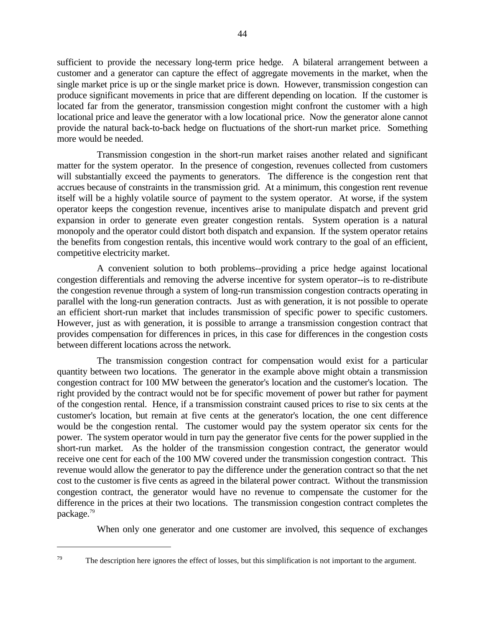sufficient to provide the necessary long-term price hedge. A bilateral arrangement between a customer and a generator can capture the effect of aggregate movements in the market, when the single market price is up or the single market price is down. However, transmission congestion can produce significant movements in price that are different depending on location. If the customer is located far from the generator, transmission congestion might confront the customer with a high locational price and leave the generator with a low locational price. Now the generator alone cannot provide the natural back-to-back hedge on fluctuations of the short-run market price. Something more would be needed.

Transmission congestion in the short-run market raises another related and significant matter for the system operator. In the presence of congestion, revenues collected from customers will substantially exceed the payments to generators. The difference is the congestion rent that accrues because of constraints in the transmission grid. At a minimum, this congestion rent revenue itself will be a highly volatile source of payment to the system operator. At worse, if the system operator keeps the congestion revenue, incentives arise to manipulate dispatch and prevent grid expansion in order to generate even greater congestion rentals. System operation is a natural monopoly and the operator could distort both dispatch and expansion. If the system operator retains the benefits from congestion rentals, this incentive would work contrary to the goal of an efficient, competitive electricity market.

A convenient solution to both problems--providing a price hedge against locational congestion differentials and removing the adverse incentive for system operator--is to re-distribute the congestion revenue through a system of long-run transmission congestion contracts operating in parallel with the long-run generation contracts. Just as with generation, it is not possible to operate an efficient short-run market that includes transmission of specific power to specific customers. However, just as with generation, it is possible to arrange a transmission congestion contract that provides compensation for differences in prices, in this case for differences in the congestion costs between different locations across the network.

The transmission congestion contract for compensation would exist for a particular quantity between two locations. The generator in the example above might obtain a transmission congestion contract for 100 MW between the generator's location and the customer's location. The right provided by the contract would not be for specific movement of power but rather for payment of the congestion rental. Hence, if a transmission constraint caused prices to rise to six cents at the customer's location, but remain at five cents at the generator's location, the one cent difference would be the congestion rental. The customer would pay the system operator six cents for the power. The system operator would in turn pay the generator five cents for the power supplied in the short-run market. As the holder of the transmission congestion contract, the generator would receive one cent for each of the 100 MW covered under the transmission congestion contract. This revenue would allow the generator to pay the difference under the generation contract so that the net cost to the customer is five cents as agreed in the bilateral power contract. Without the transmission congestion contract, the generator would have no revenue to compensate the customer for the difference in the prices at their two locations. The transmission congestion contract completes the package.79

When only one generator and one customer are involved, this sequence of exchanges

<sup>&</sup>lt;sup>79</sup> The description here ignores the effect of losses, but this simplification is not important to the argument.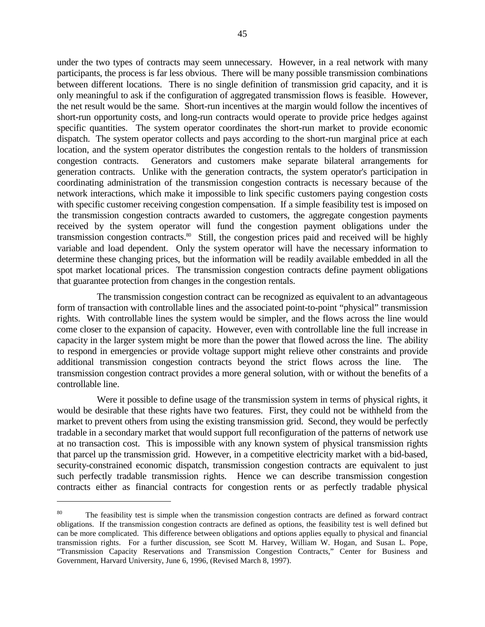under the two types of contracts may seem unnecessary. However, in a real network with many participants, the process is far less obvious. There will be many possible transmission combinations between different locations. There is no single definition of transmission grid capacity, and it is only meaningful to ask if the configuration of aggregated transmission flows is feasible. However, the net result would be the same. Short-run incentives at the margin would follow the incentives of short-run opportunity costs, and long-run contracts would operate to provide price hedges against specific quantities. The system operator coordinates the short-run market to provide economic dispatch. The system operator collects and pays according to the short-run marginal price at each location, and the system operator distributes the congestion rentals to the holders of transmission congestion contracts. Generators and customers make separate bilateral arrangements for generation contracts. Unlike with the generation contracts, the system operator's participation in coordinating administration of the transmission congestion contracts is necessary because of the network interactions, which make it impossible to link specific customers paying congestion costs with specific customer receiving congestion compensation. If a simple feasibility test is imposed on the transmission congestion contracts awarded to customers, the aggregate congestion payments received by the system operator will fund the congestion payment obligations under the transmission congestion contracts.<sup>80</sup> Still, the congestion prices paid and received will be highly variable and load dependent. Only the system operator will have the necessary information to determine these changing prices, but the information will be readily available embedded in all the spot market locational prices. The transmission congestion contracts define payment obligations that guarantee protection from changes in the congestion rentals.

The transmission congestion contract can be recognized as equivalent to an advantageous form of transaction with controllable lines and the associated point-to-point "physical" transmission rights. With controllable lines the system would be simpler, and the flows across the line would come closer to the expansion of capacity. However, even with controllable line the full increase in capacity in the larger system might be more than the power that flowed across the line. The ability to respond in emergencies or provide voltage support might relieve other constraints and provide additional transmission congestion contracts beyond the strict flows across the line. transmission congestion contract provides a more general solution, with or without the benefits of a controllable line.

Were it possible to define usage of the transmission system in terms of physical rights, it would be desirable that these rights have two features. First, they could not be withheld from the market to prevent others from using the existing transmission grid. Second, they would be perfectly tradable in a secondary market that would support full reconfiguration of the patterns of network use at no transaction cost. This is impossible with any known system of physical transmission rights that parcel up the transmission grid. However, in a competitive electricity market with a bid-based, security-constrained economic dispatch, transmission congestion contracts are equivalent to just such perfectly tradable transmission rights. Hence we can describe transmission congestion contracts either as financial contracts for congestion rents or as perfectly tradable physical

The feasibility test is simple when the transmission congestion contracts are defined as forward contract obligations. If the transmission congestion contracts are defined as options, the feasibility test is well defined but can be more complicated. This difference between obligations and options applies equally to physical and financial transmission rights. For a further discussion, see Scott M. Harvey, William W. Hogan, and Susan L. Pope, "Transmission Capacity Reservations and Transmission Congestion Contracts," Center for Business and Government, Harvard University, June 6, 1996, (Revised March 8, 1997).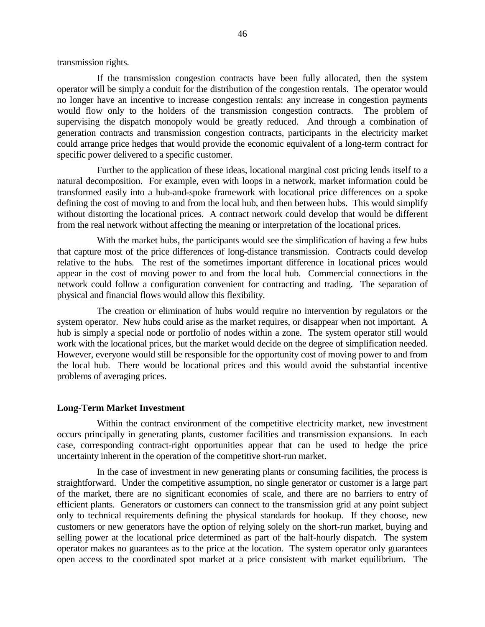transmission rights.

If the transmission congestion contracts have been fully allocated, then the system operator will be simply a conduit for the distribution of the congestion rentals. The operator would no longer have an incentive to increase congestion rentals: any increase in congestion payments would flow only to the holders of the transmission congestion contracts. The problem of supervising the dispatch monopoly would be greatly reduced. And through a combination of generation contracts and transmission congestion contracts, participants in the electricity market could arrange price hedges that would provide the economic equivalent of a long-term contract for specific power delivered to a specific customer.

Further to the application of these ideas, locational marginal cost pricing lends itself to a natural decomposition. For example, even with loops in a network, market information could be transformed easily into a hub-and-spoke framework with locational price differences on a spoke defining the cost of moving to and from the local hub, and then between hubs. This would simplify without distorting the locational prices. A contract network could develop that would be different from the real network without affecting the meaning or interpretation of the locational prices.

With the market hubs, the participants would see the simplification of having a few hubs that capture most of the price differences of long-distance transmission. Contracts could develop relative to the hubs. The rest of the sometimes important difference in locational prices would appear in the cost of moving power to and from the local hub. Commercial connections in the network could follow a configuration convenient for contracting and trading. The separation of physical and financial flows would allow this flexibility.

The creation or elimination of hubs would require no intervention by regulators or the system operator. New hubs could arise as the market requires, or disappear when not important. A hub is simply a special node or portfolio of nodes within a zone. The system operator still would work with the locational prices, but the market would decide on the degree of simplification needed. However, everyone would still be responsible for the opportunity cost of moving power to and from the local hub. There would be locational prices and this would avoid the substantial incentive problems of averaging prices.

#### **Long-Term Market Investment**

Within the contract environment of the competitive electricity market, new investment occurs principally in generating plants, customer facilities and transmission expansions. In each case, corresponding contract-right opportunities appear that can be used to hedge the price uncertainty inherent in the operation of the competitive short-run market.

In the case of investment in new generating plants or consuming facilities, the process is straightforward. Under the competitive assumption, no single generator or customer is a large part of the market, there are no significant economies of scale, and there are no barriers to entry of efficient plants. Generators or customers can connect to the transmission grid at any point subject only to technical requirements defining the physical standards for hookup. If they choose, new customers or new generators have the option of relying solely on the short-run market, buying and selling power at the locational price determined as part of the half-hourly dispatch. The system operator makes no guarantees as to the price at the location. The system operator only guarantees open access to the coordinated spot market at a price consistent with market equilibrium. The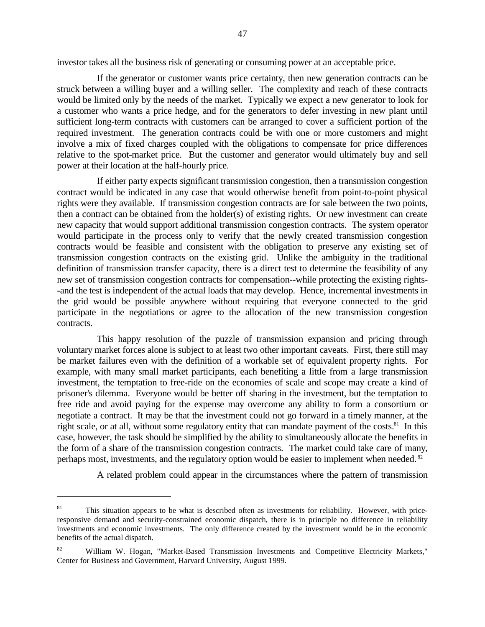investor takes all the business risk of generating or consuming power at an acceptable price.

If the generator or customer wants price certainty, then new generation contracts can be struck between a willing buyer and a willing seller. The complexity and reach of these contracts would be limited only by the needs of the market. Typically we expect a new generator to look for a customer who wants a price hedge, and for the generators to defer investing in new plant until sufficient long-term contracts with customers can be arranged to cover a sufficient portion of the required investment. The generation contracts could be with one or more customers and might involve a mix of fixed charges coupled with the obligations to compensate for price differences relative to the spot-market price. But the customer and generator would ultimately buy and sell power at their location at the half-hourly price.

If either party expects significant transmission congestion, then a transmission congestion contract would be indicated in any case that would otherwise benefit from point-to-point physical rights were they available. If transmission congestion contracts are for sale between the two points, then a contract can be obtained from the holder(s) of existing rights. Or new investment can create new capacity that would support additional transmission congestion contracts. The system operator would participate in the process only to verify that the newly created transmission congestion contracts would be feasible and consistent with the obligation to preserve any existing set of transmission congestion contracts on the existing grid. Unlike the ambiguity in the traditional definition of transmission transfer capacity, there is a direct test to determine the feasibility of any new set of transmission congestion contracts for compensation--while protecting the existing rights- -and the test is independent of the actual loads that may develop. Hence, incremental investments in the grid would be possible anywhere without requiring that everyone connected to the grid participate in the negotiations or agree to the allocation of the new transmission congestion contracts.

This happy resolution of the puzzle of transmission expansion and pricing through voluntary market forces alone is subject to at least two other important caveats. First, there still may be market failures even with the definition of a workable set of equivalent property rights. For example, with many small market participants, each benefiting a little from a large transmission investment, the temptation to free-ride on the economies of scale and scope may create a kind of prisoner's dilemma. Everyone would be better off sharing in the investment, but the temptation to free ride and avoid paying for the expense may overcome any ability to form a consortium or negotiate a contract. It may be that the investment could not go forward in a timely manner, at the right scale, or at all, without some regulatory entity that can mandate payment of the costs.<sup>81</sup> In this case, however, the task should be simplified by the ability to simultaneously allocate the benefits in the form of a share of the transmission congestion contracts. The market could take care of many, perhaps most, investments, and the regulatory option would be easier to implement when needed. <sup>82</sup>

A related problem could appear in the circumstances where the pattern of transmission

<sup>&</sup>lt;sup>81</sup> This situation appears to be what is described often as investments for reliability. However, with priceresponsive demand and security-constrained economic dispatch, there is in principle no difference in reliability investments and economic investments. The only difference created by the investment would be in the economic benefits of the actual dispatch.

<sup>&</sup>lt;sup>82</sup> William W. Hogan, "Market-Based Transmission Investments and Competitive Electricity Markets," Center for Business and Government, Harvard University, August 1999.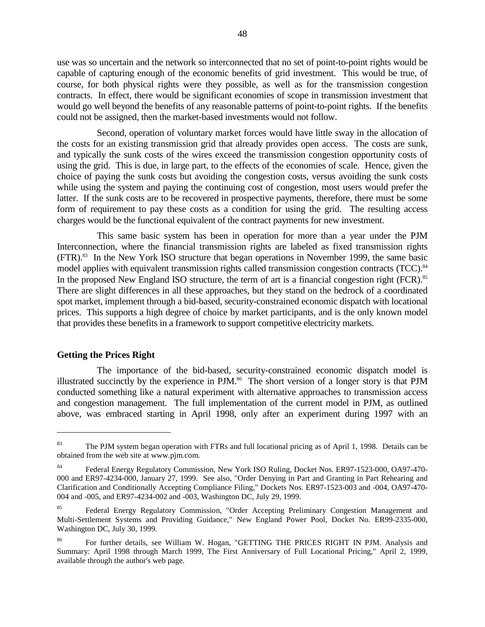use was so uncertain and the network so interconnected that no set of point-to-point rights would be capable of capturing enough of the economic benefits of grid investment. This would be true, of course, for both physical rights were they possible, as well as for the transmission congestion contracts. In effect, there would be significant economies of scope in transmission investment that would go well beyond the benefits of any reasonable patterns of point-to-point rights. If the benefits could not be assigned, then the market-based investments would not follow.

Second, operation of voluntary market forces would have little sway in the allocation of the costs for an existing transmission grid that already provides open access. The costs are sunk, and typically the sunk costs of the wires exceed the transmission congestion opportunity costs of using the grid. This is due, in large part, to the effects of the economies of scale. Hence, given the choice of paying the sunk costs but avoiding the congestion costs, versus avoiding the sunk costs while using the system and paying the continuing cost of congestion, most users would prefer the latter. If the sunk costs are to be recovered in prospective payments, therefore, there must be some form of requirement to pay these costs as a condition for using the grid. The resulting access charges would be the functional equivalent of the contract payments for new investment.

This same basic system has been in operation for more than a year under the PJM Interconnection, where the financial transmission rights are labeled as fixed transmission rights (FTR).83 In the New York ISO structure that began operations in November 1999, the same basic model applies with equivalent transmission rights called transmission congestion contracts (TCC).<sup>84</sup> In the proposed New England ISO structure, the term of art is a financial congestion right (FCR).<sup>85</sup> There are slight differences in all these approaches, but they stand on the bedrock of a coordinated spot market, implement through a bid-based, security-constrained economic dispatch with locational prices. This supports a high degree of choice by market participants, and is the only known model that provides these benefits in a framework to support competitive electricity markets.

### **Getting the Prices Right**

 $\overline{a}$ 

The importance of the bid-based, security-constrained economic dispatch model is illustrated succinctly by the experience in PJM.<sup>86</sup> The short version of a longer story is that PJM conducted something like a natural experiment with alternative approaches to transmission access and congestion management. The full implementation of the current model in PJM, as outlined above, was embraced starting in April 1998, only after an experiment during 1997 with an

<sup>&</sup>lt;sup>83</sup> The PJM system began operation with FTRs and full locational pricing as of April 1, 1998. Details can be obtained from the web site at www.pjm.com.

<sup>&</sup>lt;sup>84</sup> Federal Energy Regulatory Commission, New York ISO Ruling, Docket Nos. ER97-1523-000, OA97-470-000 and ER97-4234-000, January 27, 1999. See also, "Order Denying in Part and Granting in Part Rehearing and Clarification and Conditionally Accepting Compliance Filing," Dockets Nos. ER97-1523-003 and -004, OA97-470- 004 and -005, and ER97-4234-002 and -003, Washington DC, July 29, 1999.

<sup>&</sup>lt;sup>85</sup> Federal Energy Regulatory Commission, "Order Accepting Preliminary Congestion Management and Multi-Settlement Systems and Providing Guidance," New England Power Pool, Docket No. ER99-2335-000, Washington DC, July 30, 1999.

<sup>86</sup> For further details, see William W. Hogan, "GETTING THE PRICES RIGHT IN PJM. Analysis and Summary: April 1998 through March 1999, The First Anniversary of Full Locational Pricing," April 2, 1999, available through the author's web page.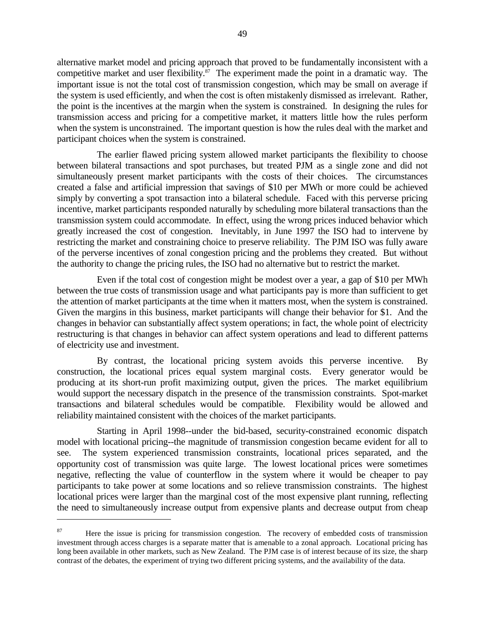alternative market model and pricing approach that proved to be fundamentally inconsistent with a competitive market and user flexibility. $87$  The experiment made the point in a dramatic way. The important issue is not the total cost of transmission congestion, which may be small on average if the system is used efficiently, and when the cost is often mistakenly dismissed as irrelevant. Rather, the point is the incentives at the margin when the system is constrained. In designing the rules for transmission access and pricing for a competitive market, it matters little how the rules perform when the system is unconstrained. The important question is how the rules deal with the market and participant choices when the system is constrained.

The earlier flawed pricing system allowed market participants the flexibility to choose between bilateral transactions and spot purchases, but treated PJM as a single zone and did not simultaneously present market participants with the costs of their choices. The circumstances created a false and artificial impression that savings of \$10 per MWh or more could be achieved simply by converting a spot transaction into a bilateral schedule. Faced with this perverse pricing incentive, market participants responded naturally by scheduling more bilateral transactions than the transmission system could accommodate. In effect, using the wrong prices induced behavior which greatly increased the cost of congestion. Inevitably, in June 1997 the ISO had to intervene by restricting the market and constraining choice to preserve reliability. The PJM ISO was fully aware of the perverse incentives of zonal congestion pricing and the problems they created. But without the authority to change the pricing rules, the ISO had no alternative but to restrict the market.

Even if the total cost of congestion might be modest over a year, a gap of \$10 per MWh between the true costs of transmission usage and what participants pay is more than sufficient to get the attention of market participants at the time when it matters most, when the system is constrained. Given the margins in this business, market participants will change their behavior for \$1. And the changes in behavior can substantially affect system operations; in fact, the whole point of electricity restructuring is that changes in behavior can affect system operations and lead to different patterns of electricity use and investment.

By contrast, the locational pricing system avoids this perverse incentive. By construction, the locational prices equal system marginal costs. Every generator would be producing at its short-run profit maximizing output, given the prices. The market equilibrium would support the necessary dispatch in the presence of the transmission constraints. Spot-market transactions and bilateral schedules would be compatible. Flexibility would be allowed and reliability maintained consistent with the choices of the market participants.

Starting in April 1998--under the bid-based, security-constrained economic dispatch model with locational pricing--the magnitude of transmission congestion became evident for all to see. The system experienced transmission constraints, locational prices separated, and the opportunity cost of transmission was quite large. The lowest locational prices were sometimes negative, reflecting the value of counterflow in the system where it would be cheaper to pay participants to take power at some locations and so relieve transmission constraints. The highest locational prices were larger than the marginal cost of the most expensive plant running, reflecting the need to simultaneously increase output from expensive plants and decrease output from cheap

<sup>&</sup>lt;sup>87</sup> Here the issue is pricing for transmission congestion. The recovery of embedded costs of transmission investment through access charges is a separate matter that is amenable to a zonal approach. Locational pricing has long been available in other markets, such as New Zealand. The PJM case is of interest because of its size, the sharp contrast of the debates, the experiment of trying two different pricing systems, and the availability of the data.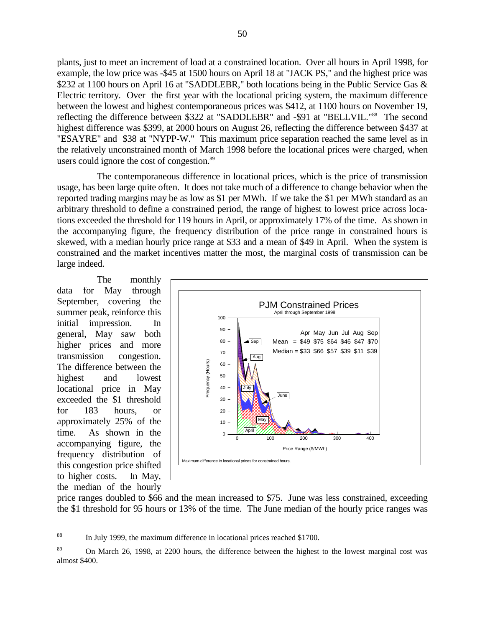plants, just to meet an increment of load at a constrained location. Over all hours in April 1998, for example, the low price was -\$45 at 1500 hours on April 18 at "JACK PS," and the highest price was \$232 at 1100 hours on April 16 at "SADDLEBR," both locations being in the Public Service Gas & Electric territory. Over the first year with the locational pricing system, the maximum difference between the lowest and highest contemporaneous prices was \$412, at 1100 hours on November 19, reflecting the difference between \$322 at "SADDLEBR" and -\$91 at "BELLVIL."<sup>88</sup> The second highest difference was \$399, at 2000 hours on August 26, reflecting the difference between \$437 at "ESAYRE" and \$38 at "NYPP-W." This maximum price separation reached the same level as in the relatively unconstrained month of March 1998 before the locational prices were charged, when users could ignore the cost of congestion.<sup>89</sup>

The contemporaneous difference in locational prices, which is the price of transmission usage, has been large quite often. It does not take much of a difference to change behavior when the reported trading margins may be as low as \$1 per MWh. If we take the \$1 per MWh standard as an arbitrary threshold to define a constrained period, the range of highest to lowest price across locations exceeded the threshold for 119 hours in April, or approximately 17% of the time. As shown in the accompanying figure, the frequency distribution of the price range in constrained hours is skewed, with a median hourly price range at \$33 and a mean of \$49 in April. When the system is constrained and the market incentives matter the most, the marginal costs of transmission can be large indeed.

The monthly data for May through September, covering the summer peak, reinforce this initial impression. In general, May saw both higher prices and more transmission congestion. The difference between the highest and lowest locational price in May exceeded the \$1 threshold for 183 hours, or approximately 25% of the time. As shown in the accompanying figure, the frequency distribution of this congestion price shifted to higher costs. In May, the median of the hourly

 $\overline{a}$ 



price ranges doubled to \$66 and the mean increased to \$75. June was less constrained, exceeding the \$1 threshold for 95 hours or 13% of the time. The June median of the hourly price ranges was

<sup>&</sup>lt;sup>88</sup> In July 1999, the maximum difference in locational prices reached \$1700.

<sup>&</sup>lt;sup>89</sup> On March 26, 1998, at 2200 hours, the difference between the highest to the lowest marginal cost was almost \$400.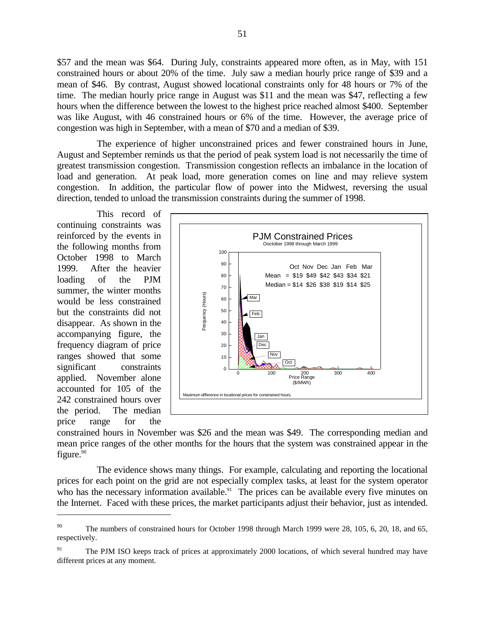\$57 and the mean was \$64. During July, constraints appeared more often, as in May, with 151 constrained hours or about 20% of the time. July saw a median hourly price range of \$39 and a mean of \$46. By contrast, August showed locational constraints only for 48 hours or 7% of the time. The median hourly price range in August was \$11 and the mean was \$47, reflecting a few hours when the difference between the lowest to the highest price reached almost \$400. September was like August, with 46 constrained hours or 6% of the time. However, the average price of congestion was high in September, with a mean of \$70 and a median of \$39.

The experience of higher unconstrained prices and fewer constrained hours in June, August and September reminds us that the period of peak system load is not necessarily the time of greatest transmission congestion. Transmission congestion reflects an imbalance in the location of load and generation. At peak load, more generation comes on line and may relieve system congestion. In addition, the particular flow of power into the Midwest, reversing the usual direction, tended to unload the transmission constraints during the summer of 1998.

This record of continuing constraints was reinforced by the events in the following months from October 1998 to March 1999. After the heavier loading of the PJM summer, the winter months would be less constrained but the constraints did not disappear. As shown in the accompanying figure, the frequency diagram of price ranges showed that some significant constraints applied. November alone accounted for 105 of the 242 constrained hours over the period. The median price range for the

 $\overline{a}$ 



constrained hours in November was \$26 and the mean was \$49. The corresponding median and mean price ranges of the other months for the hours that the system was constrained appear in the figure.<sup>90</sup>

The evidence shows many things. For example, calculating and reporting the locational prices for each point on the grid are not especially complex tasks, at least for the system operator who has the necessary information available.<sup>91</sup> The prices can be available every five minutes on the Internet. Faced with these prices, the market participants adjust their behavior, just as intended.

<sup>&</sup>lt;sup>90</sup> The numbers of constrained hours for October 1998 through March 1999 were 28, 105, 6, 20, 18, and 65, respectively.

<sup>&</sup>lt;sup>91</sup> The PJM ISO keeps track of prices at approximately 2000 locations, of which several hundred may have different prices at any moment.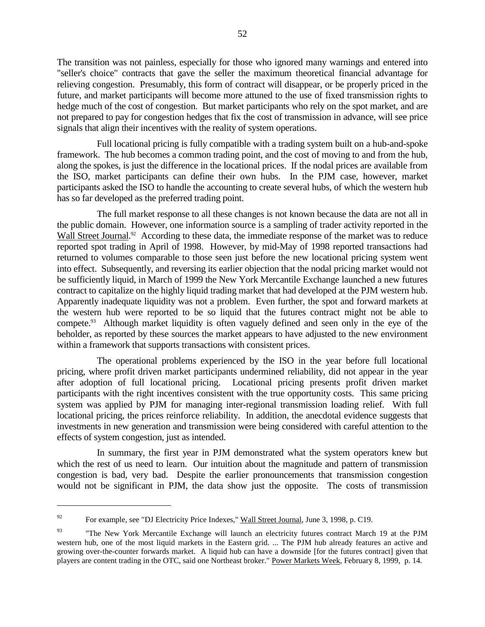The transition was not painless, especially for those who ignored many warnings and entered into "seller's choice" contracts that gave the seller the maximum theoretical financial advantage for relieving congestion. Presumably, this form of contract will disappear, or be properly priced in the future, and market participants will become more attuned to the use of fixed transmission rights to hedge much of the cost of congestion. But market participants who rely on the spot market, and are not prepared to pay for congestion hedges that fix the cost of transmission in advance, will see price signals that align their incentives with the reality of system operations.

Full locational pricing is fully compatible with a trading system built on a hub-and-spoke framework. The hub becomes a common trading point, and the cost of moving to and from the hub, along the spokes, is just the difference in the locational prices. If the nodal prices are available from the ISO, market participants can define their own hubs. In the PJM case, however, market participants asked the ISO to handle the accounting to create several hubs, of which the western hub has so far developed as the preferred trading point.

The full market response to all these changes is not known because the data are not all in the public domain. However, one information source is a sampling of trader activity reported in the Wall Street Journal.<sup>92</sup> According to these data, the immediate response of the market was to reduce reported spot trading in April of 1998. However, by mid-May of 1998 reported transactions had returned to volumes comparable to those seen just before the new locational pricing system went into effect. Subsequently, and reversing its earlier objection that the nodal pricing market would not be sufficiently liquid, in March of 1999 the New York Mercantile Exchange launched a new futures contract to capitalize on the highly liquid trading market that had developed at the PJM western hub. Apparently inadequate liquidity was not a problem. Even further, the spot and forward markets at the western hub were reported to be so liquid that the futures contract might not be able to compete.<sup>93</sup> Although market liquidity is often vaguely defined and seen only in the eye of the beholder, as reported by these sources the market appears to have adjusted to the new environment within a framework that supports transactions with consistent prices.

The operational problems experienced by the ISO in the year before full locational pricing, where profit driven market participants undermined reliability, did not appear in the year after adoption of full locational pricing. Locational pricing presents profit driven market participants with the right incentives consistent with the true opportunity costs. This same pricing system was applied by PJM for managing inter-regional transmission loading relief. With full locational pricing, the prices reinforce reliability. In addition, the anecdotal evidence suggests that investments in new generation and transmission were being considered with careful attention to the effects of system congestion, just as intended.

In summary, the first year in PJM demonstrated what the system operators knew but which the rest of us need to learn. Our intuition about the magnitude and pattern of transmission congestion is bad, very bad. Despite the earlier pronouncements that transmission congestion would not be significant in PJM, the data show just the opposite. The costs of transmission

<sup>&</sup>lt;sup>92</sup> For example, see "DJ Electricity Price Indexes," Wall Street Journal, June 3, 1998, p. C19.

<sup>&</sup>lt;sup>93</sup> "The New York Mercantile Exchange will launch an electricity futures contract March 19 at the PJM western hub, one of the most liquid markets in the Eastern grid. ... The PJM hub already features an active and growing over-the-counter forwards market. A liquid hub can have a downside [for the futures contract] given that players are content trading in the OTC, said one Northeast broker." Power Markets Week, February 8, 1999, p. 14.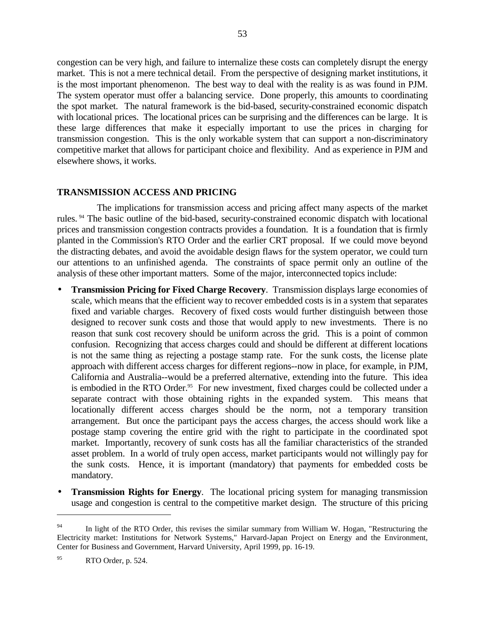congestion can be very high, and failure to internalize these costs can completely disrupt the energy market. This is not a mere technical detail. From the perspective of designing market institutions, it is the most important phenomenon. The best way to deal with the reality is as was found in PJM. The system operator must offer a balancing service. Done properly, this amounts to coordinating the spot market. The natural framework is the bid-based, security-constrained economic dispatch with locational prices. The locational prices can be surprising and the differences can be large. It is these large differences that make it especially important to use the prices in charging for transmission congestion. This is the only workable system that can support a non-discriminatory competitive market that allows for participant choice and flexibility. And as experience in PJM and elsewhere shows, it works.

## **TRANSMISSION ACCESS AND PRICING**

The implications for transmission access and pricing affect many aspects of the market rules. 94 The basic outline of the bid-based, security-constrained economic dispatch with locational prices and transmission congestion contracts provides a foundation. It is a foundation that is firmly planted in the Commission's RTO Order and the earlier CRT proposal. If we could move beyond the distracting debates, and avoid the avoidable design flaws for the system operator, we could turn our attentions to an unfinished agenda. The constraints of space permit only an outline of the analysis of these other important matters. Some of the major, interconnected topics include:

- **Transmission Pricing for Fixed Charge Recovery**. Transmission displays large economies of scale, which means that the efficient way to recover embedded costs is in a system that separates fixed and variable charges. Recovery of fixed costs would further distinguish between those designed to recover sunk costs and those that would apply to new investments. There is no reason that sunk cost recovery should be uniform across the grid. This is a point of common confusion. Recognizing that access charges could and should be different at different locations is not the same thing as rejecting a postage stamp rate. For the sunk costs, the license plate approach with different access charges for different regions--now in place, for example, in PJM, California and Australia--would be a preferred alternative, extending into the future. This idea is embodied in the RTO Order.<sup>95</sup> For new investment, fixed charges could be collected under a separate contract with those obtaining rights in the expanded system. This means that locationally different access charges should be the norm, not a temporary transition arrangement. But once the participant pays the access charges, the access should work like a postage stamp covering the entire grid with the right to participate in the coordinated spot market. Importantly, recovery of sunk costs has all the familiar characteristics of the stranded asset problem. In a world of truly open access, market participants would not willingly pay for the sunk costs. Hence, it is important (mandatory) that payments for embedded costs be mandatory.
- **Transmission Rights for Energy**. The locational pricing system for managing transmission usage and congestion is central to the competitive market design. The structure of this pricing

<sup>&</sup>lt;sup>94</sup> In light of the RTO Order, this revises the similar summary from William W. Hogan, "Restructuring the Electricity market: Institutions for Network Systems," Harvard-Japan Project on Energy and the Environment, Center for Business and Government, Harvard University, April 1999, pp. 16-19.

 $\overline{P}$  RTO Order, p. 524.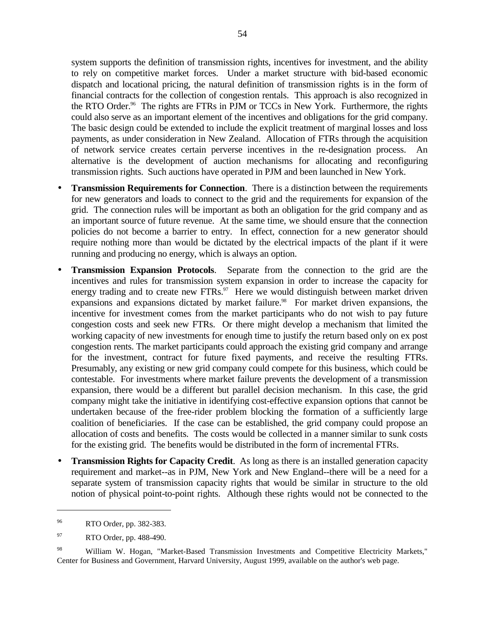system supports the definition of transmission rights, incentives for investment, and the ability to rely on competitive market forces. Under a market structure with bid-based economic dispatch and locational pricing, the natural definition of transmission rights is in the form of financial contracts for the collection of congestion rentals. This approach is also recognized in the RTO Order.<sup>96</sup> The rights are FTRs in PJM or TCCs in New York. Furthermore, the rights could also serve as an important element of the incentives and obligations for the grid company. The basic design could be extended to include the explicit treatment of marginal losses and loss payments, as under consideration in New Zealand. Allocation of FTRs through the acquisition of network service creates certain perverse incentives in the re-designation process. An alternative is the development of auction mechanisms for allocating and reconfiguring transmission rights. Such auctions have operated in PJM and been launched in New York.

- **Transmission Requirements for Connection.** There is a distinction between the requirements for new generators and loads to connect to the grid and the requirements for expansion of the grid. The connection rules will be important as both an obligation for the grid company and as an important source of future revenue. At the same time, we should ensure that the connection policies do not become a barrier to entry. In effect, connection for a new generator should require nothing more than would be dictated by the electrical impacts of the plant if it were running and producing no energy, which is always an option.
- **Transmission Expansion Protocols.** Separate from the connection to the grid are the incentives and rules for transmission system expansion in order to increase the capacity for energy trading and to create new FTRs.<sup>97</sup> Here we would distinguish between market driven expansions and expansions dictated by market failure.<sup>98</sup> For market driven expansions, the incentive for investment comes from the market participants who do not wish to pay future congestion costs and seek new FTRs. Or there might develop a mechanism that limited the working capacity of new investments for enough time to justify the return based only on ex post congestion rents. The market participants could approach the existing grid company and arrange for the investment, contract for future fixed payments, and receive the resulting FTRs. Presumably, any existing or new grid company could compete for this business, which could be contestable. For investments where market failure prevents the development of a transmission expansion, there would be a different but parallel decision mechanism. In this case, the grid company might take the initiative in identifying cost-effective expansion options that cannot be undertaken because of the free-rider problem blocking the formation of a sufficiently large coalition of beneficiaries. If the case can be established, the grid company could propose an allocation of costs and benefits. The costs would be collected in a manner similar to sunk costs for the existing grid. The benefits would be distributed in the form of incremental FTRs.
- **Transmission Rights for Capacity Credit**. As long as there is an installed generation capacity requirement and market--as in PJM, New York and New England--there will be a need for a separate system of transmission capacity rights that would be similar in structure to the old notion of physical point-to-point rights. Although these rights would not be connected to the

<sup>96</sup> RTO Order, pp. 382-383.

<sup>97</sup> RTO Order, pp. 488-490.

<sup>98</sup> William W. Hogan, "Market-Based Transmission Investments and Competitive Electricity Markets," Center for Business and Government, Harvard University, August 1999, available on the author's web page.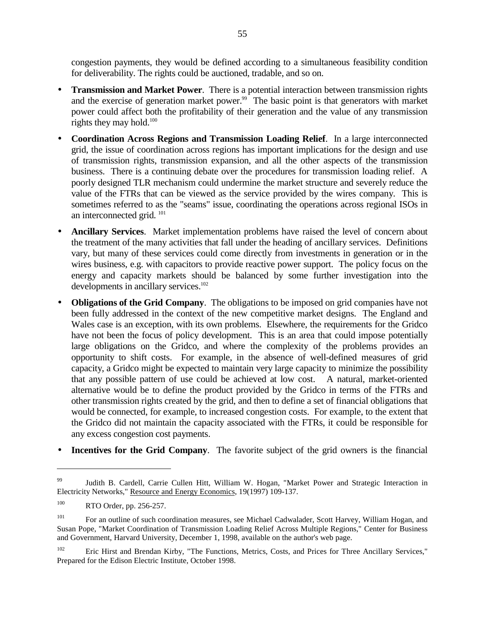congestion payments, they would be defined according to a simultaneous feasibility condition for deliverability. The rights could be auctioned, tradable, and so on.

- **Transmission and Market Power**. There is a potential interaction between transmission rights and the exercise of generation market power.<sup>99</sup> The basic point is that generators with market power could affect both the profitability of their generation and the value of any transmission rights they may hold. $100$
- **Coordination Across Regions and Transmission Loading Relief**. In a large interconnected grid, the issue of coordination across regions has important implications for the design and use of transmission rights, transmission expansion, and all the other aspects of the transmission business. There is a continuing debate over the procedures for transmission loading relief. A poorly designed TLR mechanism could undermine the market structure and severely reduce the value of the FTRs that can be viewed as the service provided by the wires company. This is sometimes referred to as the "seams" issue, coordinating the operations across regional ISOs in an interconnected grid. 101
- **Ancillary Services**. Market implementation problems have raised the level of concern about the treatment of the many activities that fall under the heading of ancillary services. Definitions vary, but many of these services could come directly from investments in generation or in the wires business, e.g. with capacitors to provide reactive power support. The policy focus on the energy and capacity markets should be balanced by some further investigation into the developments in ancillary services.<sup>102</sup>
- **Obligations of the Grid Company**. The obligations to be imposed on grid companies have not been fully addressed in the context of the new competitive market designs. The England and Wales case is an exception, with its own problems. Elsewhere, the requirements for the Gridco have not been the focus of policy development. This is an area that could impose potentially large obligations on the Gridco, and where the complexity of the problems provides an opportunity to shift costs. For example, in the absence of well-defined measures of grid capacity, a Gridco might be expected to maintain very large capacity to minimize the possibility that any possible pattern of use could be achieved at low cost. A natural, market-oriented alternative would be to define the product provided by the Gridco in terms of the FTRs and other transmission rights created by the grid, and then to define a set of financial obligations that would be connected, for example, to increased congestion costs. For example, to the extent that the Gridco did not maintain the capacity associated with the FTRs, it could be responsible for any excess congestion cost payments.
- **Incentives for the Grid Company**. The favorite subject of the grid owners is the financial

<sup>&</sup>lt;sup>99</sup> Judith B. Cardell, Carrie Cullen Hitt, William W. Hogan, "Market Power and Strategic Interaction in Electricity Networks," Resource and Energy Economics, 19(1997) 109-137.

<sup>100</sup> RTO Order, pp. 256-257.

<sup>101</sup> For an outline of such coordination measures, see Michael Cadwalader, Scott Harvey, William Hogan, and Susan Pope, "Market Coordination of Transmission Loading Relief Across Multiple Regions," Center for Business and Government, Harvard University, December 1, 1998, available on the author's web page.

<sup>&</sup>lt;sup>102</sup> Eric Hirst and Brendan Kirby, "The Functions, Metrics, Costs, and Prices for Three Ancillary Services," Prepared for the Edison Electric Institute, October 1998.